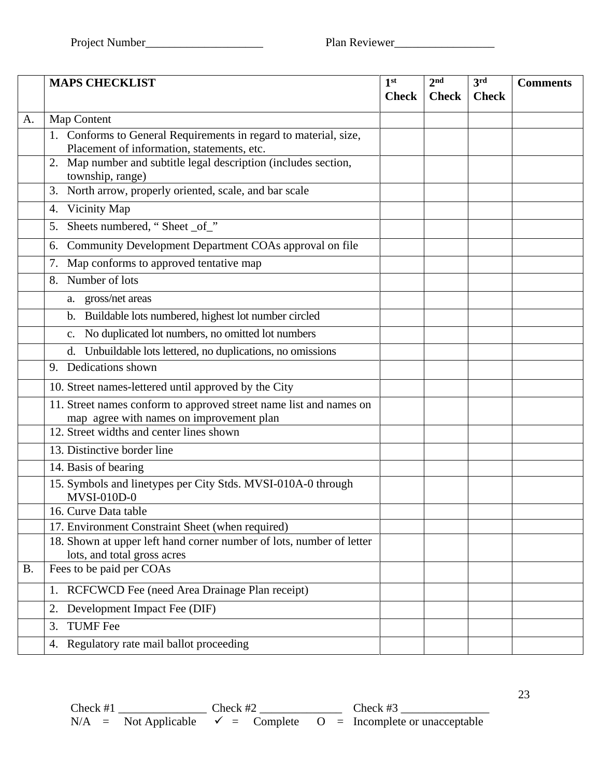|           | <b>MAPS CHECKLIST</b>                                                                                          | 1 <sup>st</sup><br><b>Check</b> | 2 <sub>nd</sub><br><b>Check</b> | 3rd<br><b>Check</b> | <b>Comments</b> |
|-----------|----------------------------------------------------------------------------------------------------------------|---------------------------------|---------------------------------|---------------------|-----------------|
|           |                                                                                                                |                                 |                                 |                     |                 |
| A.        | Map Content                                                                                                    |                                 |                                 |                     |                 |
|           | 1. Conforms to General Requirements in regard to material, size,<br>Placement of information, statements, etc. |                                 |                                 |                     |                 |
|           | Map number and subtitle legal description (includes section,<br>2.<br>township, range)                         |                                 |                                 |                     |                 |
|           | 3. North arrow, properly oriented, scale, and bar scale                                                        |                                 |                                 |                     |                 |
|           | Vicinity Map<br>4.                                                                                             |                                 |                                 |                     |                 |
|           | Sheets numbered, "Sheet _of_"<br>5.                                                                            |                                 |                                 |                     |                 |
|           | Community Development Department COAs approval on file<br>6.                                                   |                                 |                                 |                     |                 |
|           | Map conforms to approved tentative map<br>7.                                                                   |                                 |                                 |                     |                 |
|           | Number of lots<br>8.                                                                                           |                                 |                                 |                     |                 |
|           | a. gross/net areas                                                                                             |                                 |                                 |                     |                 |
|           | b. Buildable lots numbered, highest lot number circled                                                         |                                 |                                 |                     |                 |
|           | c. No duplicated lot numbers, no omitted lot numbers                                                           |                                 |                                 |                     |                 |
|           | d. Unbuildable lots lettered, no duplications, no omissions                                                    |                                 |                                 |                     |                 |
|           | 9. Dedications shown                                                                                           |                                 |                                 |                     |                 |
|           | 10. Street names-lettered until approved by the City                                                           |                                 |                                 |                     |                 |
|           | 11. Street names conform to approved street name list and names on<br>map agree with names on improvement plan |                                 |                                 |                     |                 |
|           | 12. Street widths and center lines shown                                                                       |                                 |                                 |                     |                 |
|           | 13. Distinctive border line                                                                                    |                                 |                                 |                     |                 |
|           | 14. Basis of bearing                                                                                           |                                 |                                 |                     |                 |
|           | 15. Symbols and linetypes per City Stds. MVSI-010A-0 through<br><b>MVSI-010D-0</b>                             |                                 |                                 |                     |                 |
|           | 16. Curve Data table                                                                                           |                                 |                                 |                     |                 |
|           | 17. Environment Constraint Sheet (when required)                                                               |                                 |                                 |                     |                 |
|           | 18. Shown at upper left hand corner number of lots, number of letter<br>lots, and total gross acres            |                                 |                                 |                     |                 |
| <b>B.</b> | Fees to be paid per COAs                                                                                       |                                 |                                 |                     |                 |
|           | RCFCWCD Fee (need Area Drainage Plan receipt)<br>1.                                                            |                                 |                                 |                     |                 |
|           | Development Impact Fee (DIF)<br>2.                                                                             |                                 |                                 |                     |                 |
|           | <b>TUMF</b> Fee<br>3.                                                                                          |                                 |                                 |                     |                 |
|           | 4. Regulatory rate mail ballot proceeding                                                                      |                                 |                                 |                     |                 |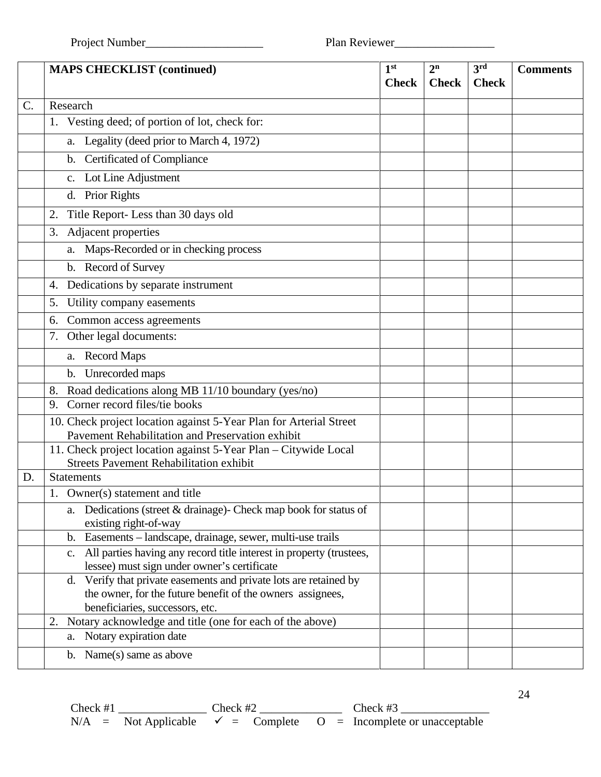|    | <b>MAPS CHECKLIST (continued)</b>                                                                                      | 1 <sup>st</sup><br><b>Check</b> | $2^n$<br><b>Check</b> | 3 <sup>rd</sup><br><b>Check</b> | <b>Comments</b> |
|----|------------------------------------------------------------------------------------------------------------------------|---------------------------------|-----------------------|---------------------------------|-----------------|
| C. | Research                                                                                                               |                                 |                       |                                 |                 |
|    | 1. Vesting deed; of portion of lot, check for:                                                                         |                                 |                       |                                 |                 |
|    | a. Legality (deed prior to March 4, 1972)                                                                              |                                 |                       |                                 |                 |
|    | b. Certificated of Compliance                                                                                          |                                 |                       |                                 |                 |
|    | c. Lot Line Adjustment                                                                                                 |                                 |                       |                                 |                 |
|    | d. Prior Rights                                                                                                        |                                 |                       |                                 |                 |
|    | Title Report-Less than 30 days old<br>2.                                                                               |                                 |                       |                                 |                 |
|    | 3. Adjacent properties                                                                                                 |                                 |                       |                                 |                 |
|    | a. Maps-Recorded or in checking process                                                                                |                                 |                       |                                 |                 |
|    | b. Record of Survey                                                                                                    |                                 |                       |                                 |                 |
|    | Dedications by separate instrument<br>4.                                                                               |                                 |                       |                                 |                 |
|    | Utility company easements<br>5.                                                                                        |                                 |                       |                                 |                 |
|    | Common access agreements<br>6.                                                                                         |                                 |                       |                                 |                 |
|    | 7. Other legal documents:                                                                                              |                                 |                       |                                 |                 |
|    | a. Record Maps                                                                                                         |                                 |                       |                                 |                 |
|    | b. Unrecorded maps                                                                                                     |                                 |                       |                                 |                 |
|    | Road dedications along MB 11/10 boundary (yes/no)<br>8.                                                                |                                 |                       |                                 |                 |
|    | 9. Corner record files/tie books                                                                                       |                                 |                       |                                 |                 |
|    | 10. Check project location against 5-Year Plan for Arterial Street<br>Pavement Rehabilitation and Preservation exhibit |                                 |                       |                                 |                 |
|    | 11. Check project location against 5-Year Plan - Citywide Local<br><b>Streets Pavement Rehabilitation exhibit</b>      |                                 |                       |                                 |                 |
| D. | <b>Statements</b>                                                                                                      |                                 |                       |                                 |                 |
|    | Owner(s) statement and title                                                                                           |                                 |                       |                                 |                 |
|    | a. Dedications (street $&$ drainage)- Check map book for status of<br>existing right-of-way                            |                                 |                       |                                 |                 |
|    | b. Easements - landscape, drainage, sewer, multi-use trails                                                            |                                 |                       |                                 |                 |
|    | c. All parties having any record title interest in property (trustees,                                                 |                                 |                       |                                 |                 |
|    | lessee) must sign under owner's certificate<br>d. Verify that private easements and private lots are retained by       |                                 |                       |                                 |                 |
|    | the owner, for the future benefit of the owners assignees,<br>beneficiaries, successors, etc.                          |                                 |                       |                                 |                 |
|    | Notary acknowledge and title (one for each of the above)<br>2.                                                         |                                 |                       |                                 |                 |
|    | a. Notary expiration date                                                                                              |                                 |                       |                                 |                 |
|    | b. Name $(s)$ same as above                                                                                            |                                 |                       |                                 |                 |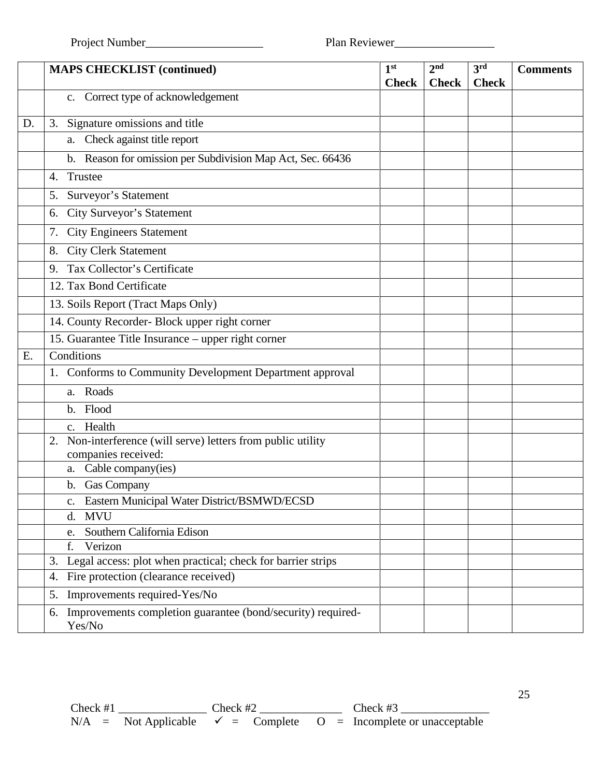|    | <b>MAPS CHECKLIST (continued)</b>                                                   | 1 <sup>st</sup> | 2 <sub>nd</sub> | $3^{\overline{\text{rd}}}$ | <b>Comments</b> |
|----|-------------------------------------------------------------------------------------|-----------------|-----------------|----------------------------|-----------------|
|    |                                                                                     | <b>Check</b>    | <b>Check</b>    | <b>Check</b>               |                 |
|    | c. Correct type of acknowledgement                                                  |                 |                 |                            |                 |
| D. | 3. Signature omissions and title                                                    |                 |                 |                            |                 |
|    | a. Check against title report                                                       |                 |                 |                            |                 |
|    | b. Reason for omission per Subdivision Map Act, Sec. 66436                          |                 |                 |                            |                 |
|    | Trustee<br>$\overline{4}$ .                                                         |                 |                 |                            |                 |
|    | 5. Surveyor's Statement                                                             |                 |                 |                            |                 |
|    | City Surveyor's Statement<br>6.                                                     |                 |                 |                            |                 |
|    | <b>City Engineers Statement</b><br>7.                                               |                 |                 |                            |                 |
|    | <b>City Clerk Statement</b><br>8.                                                   |                 |                 |                            |                 |
|    | Tax Collector's Certificate<br>9.                                                   |                 |                 |                            |                 |
|    | 12. Tax Bond Certificate                                                            |                 |                 |                            |                 |
|    | 13. Soils Report (Tract Maps Only)                                                  |                 |                 |                            |                 |
|    | 14. County Recorder- Block upper right corner                                       |                 |                 |                            |                 |
|    | 15. Guarantee Title Insurance – upper right corner                                  |                 |                 |                            |                 |
| Ε. | Conditions                                                                          |                 |                 |                            |                 |
|    | 1. Conforms to Community Development Department approval                            |                 |                 |                            |                 |
|    | a. Roads                                                                            |                 |                 |                            |                 |
|    | b. Flood                                                                            |                 |                 |                            |                 |
|    | c. Health                                                                           |                 |                 |                            |                 |
|    | 2. Non-interference (will serve) letters from public utility<br>companies received: |                 |                 |                            |                 |
|    | Cable company(ies)<br>a.                                                            |                 |                 |                            |                 |
|    | b. Gas Company                                                                      |                 |                 |                            |                 |
|    | Eastern Municipal Water District/BSMWD/ECSD<br>$\mathbf{c}$ .                       |                 |                 |                            |                 |
|    | <b>MVU</b><br>d.                                                                    |                 |                 |                            |                 |
|    | Southern California Edison<br>e.                                                    |                 |                 |                            |                 |
|    | Verizon<br>f.                                                                       |                 |                 |                            |                 |
|    | Legal access: plot when practical; check for barrier strips<br>3.                   |                 |                 |                            |                 |
|    | Fire protection (clearance received)<br>4.                                          |                 |                 |                            |                 |
|    | Improvements required-Yes/No<br>5.                                                  |                 |                 |                            |                 |
|    | Improvements completion guarantee (bond/security) required-<br>6.<br>Yes/No         |                 |                 |                            |                 |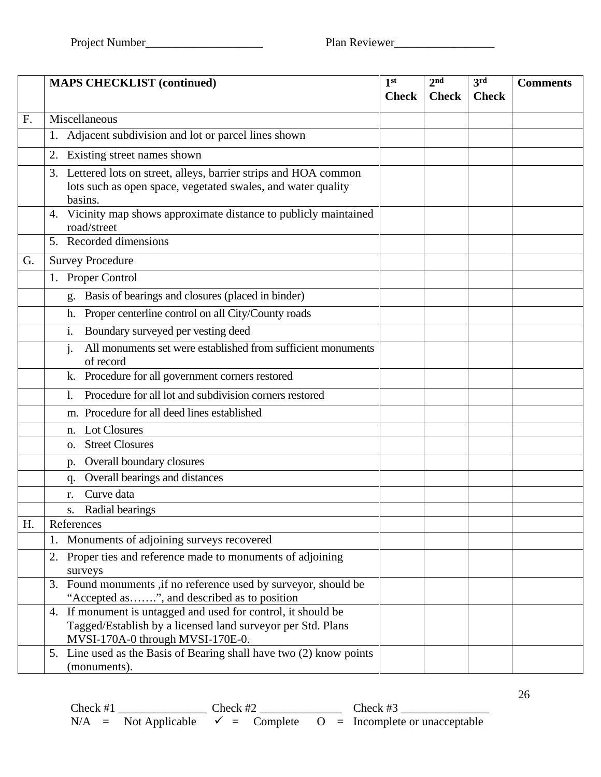|    | <b>MAPS CHECKLIST (continued)</b>                                                                                                                                | 1 <sup>st</sup><br><b>Check</b> | 2 <sub>nd</sub><br><b>Check</b> | 3rd<br><b>Check</b> | <b>Comments</b> |
|----|------------------------------------------------------------------------------------------------------------------------------------------------------------------|---------------------------------|---------------------------------|---------------------|-----------------|
| F. | Miscellaneous                                                                                                                                                    |                                 |                                 |                     |                 |
|    | Adjacent subdivision and lot or parcel lines shown<br>1.                                                                                                         |                                 |                                 |                     |                 |
|    | Existing street names shown<br>2.                                                                                                                                |                                 |                                 |                     |                 |
|    | 3. Lettered lots on street, alleys, barrier strips and HOA common<br>lots such as open space, vegetated swales, and water quality<br>basins.                     |                                 |                                 |                     |                 |
|    | Vicinity map shows approximate distance to publicly maintained<br>4.<br>road/street                                                                              |                                 |                                 |                     |                 |
|    | 5. Recorded dimensions                                                                                                                                           |                                 |                                 |                     |                 |
| G. | <b>Survey Procedure</b>                                                                                                                                          |                                 |                                 |                     |                 |
|    | 1. Proper Control                                                                                                                                                |                                 |                                 |                     |                 |
|    | Basis of bearings and closures (placed in binder)<br>g.                                                                                                          |                                 |                                 |                     |                 |
|    | Proper centerline control on all City/County roads<br>h.                                                                                                         |                                 |                                 |                     |                 |
|    | Boundary surveyed per vesting deed<br>i.                                                                                                                         |                                 |                                 |                     |                 |
|    | All monuments set were established from sufficient monuments<br>1.<br>of record                                                                                  |                                 |                                 |                     |                 |
|    | k. Procedure for all government corners restored                                                                                                                 |                                 |                                 |                     |                 |
|    | Procedure for all lot and subdivision corners restored                                                                                                           |                                 |                                 |                     |                 |
|    | m. Procedure for all deed lines established                                                                                                                      |                                 |                                 |                     |                 |
|    | n. Lot Closures                                                                                                                                                  |                                 |                                 |                     |                 |
|    | <b>Street Closures</b><br>$\Omega$ .                                                                                                                             |                                 |                                 |                     |                 |
|    | Overall boundary closures<br>p.                                                                                                                                  |                                 |                                 |                     |                 |
|    | Overall bearings and distances<br>q.                                                                                                                             |                                 |                                 |                     |                 |
|    | Curve data<br>r.                                                                                                                                                 |                                 |                                 |                     |                 |
|    | Radial bearings<br>S.                                                                                                                                            |                                 |                                 |                     |                 |
| H. | References                                                                                                                                                       |                                 |                                 |                     |                 |
|    | Monuments of adjoining surveys recovered<br>1.                                                                                                                   |                                 |                                 |                     |                 |
|    | Proper ties and reference made to monuments of adjoining<br>2.<br>surveys                                                                                        |                                 |                                 |                     |                 |
|    | 3. Found monuments ,if no reference used by surveyor, should be<br>"Accepted as", and described as to position                                                   |                                 |                                 |                     |                 |
|    | 4. If monument is untagged and used for control, it should be<br>Tagged/Establish by a licensed land surveyor per Std. Plans<br>MVSI-170A-0 through MVSI-170E-0. |                                 |                                 |                     |                 |
|    | 5. Line used as the Basis of Bearing shall have two (2) know points<br>(monuments).                                                                              |                                 |                                 |                     |                 |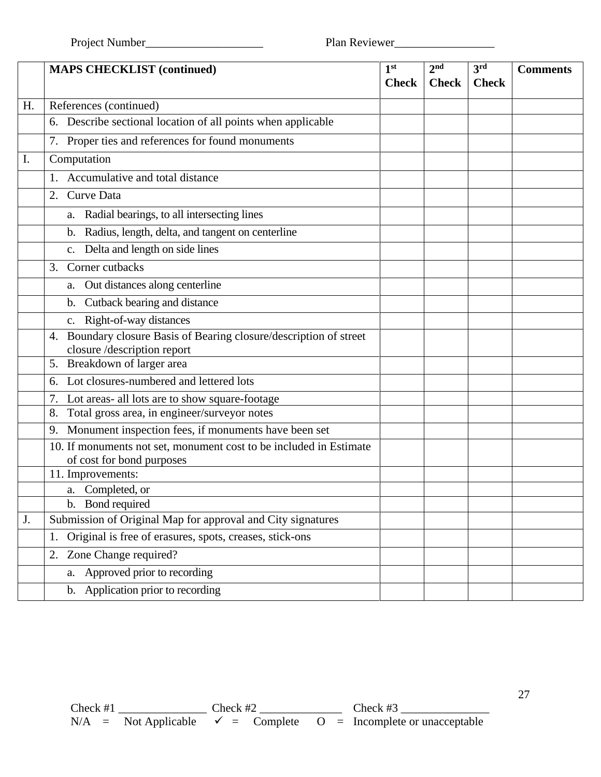|    | <b>MAPS CHECKLIST (continued)</b>                                                               | 1 <sup>st</sup> | 2 <sup>nd</sup> | 3rd          | <b>Comments</b> |
|----|-------------------------------------------------------------------------------------------------|-----------------|-----------------|--------------|-----------------|
|    |                                                                                                 | <b>Check</b>    | <b>Check</b>    | <b>Check</b> |                 |
| H. | References (continued)                                                                          |                 |                 |              |                 |
|    | 6. Describe sectional location of all points when applicable                                    |                 |                 |              |                 |
|    | 7. Proper ties and references for found monuments                                               |                 |                 |              |                 |
| I. | Computation                                                                                     |                 |                 |              |                 |
|    | Accumulative and total distance<br>1.                                                           |                 |                 |              |                 |
|    | Curve Data<br>2.                                                                                |                 |                 |              |                 |
|    | Radial bearings, to all intersecting lines<br>a.                                                |                 |                 |              |                 |
|    | b. Radius, length, delta, and tangent on centerline                                             |                 |                 |              |                 |
|    | c. Delta and length on side lines                                                               |                 |                 |              |                 |
|    | Corner cutbacks<br>3.                                                                           |                 |                 |              |                 |
|    | Out distances along centerline<br>a.                                                            |                 |                 |              |                 |
|    | b. Cutback bearing and distance                                                                 |                 |                 |              |                 |
|    | c. Right-of-way distances                                                                       |                 |                 |              |                 |
|    | Boundary closure Basis of Bearing closure/description of street<br>4.                           |                 |                 |              |                 |
|    | closure /description report<br>Breakdown of larger area<br>5.                                   |                 |                 |              |                 |
|    | Lot closures-numbered and lettered lots<br>6.                                                   |                 |                 |              |                 |
|    | 7.<br>Lot areas- all lots are to show square-footage                                            |                 |                 |              |                 |
|    | Total gross area, in engineer/surveyor notes<br>8.                                              |                 |                 |              |                 |
|    | Monument inspection fees, if monuments have been set<br>9.                                      |                 |                 |              |                 |
|    | 10. If monuments not set, monument cost to be included in Estimate<br>of cost for bond purposes |                 |                 |              |                 |
|    | 11. Improvements:                                                                               |                 |                 |              |                 |
|    | a. Completed, or                                                                                |                 |                 |              |                 |
|    | b. Bond required                                                                                |                 |                 |              |                 |
| J. | Submission of Original Map for approval and City signatures                                     |                 |                 |              |                 |
|    | Original is free of erasures, spots, creases, stick-ons<br>1.                                   |                 |                 |              |                 |
|    | 2. Zone Change required?                                                                        |                 |                 |              |                 |
|    | a. Approved prior to recording                                                                  |                 |                 |              |                 |
|    | b. Application prior to recording                                                               |                 |                 |              |                 |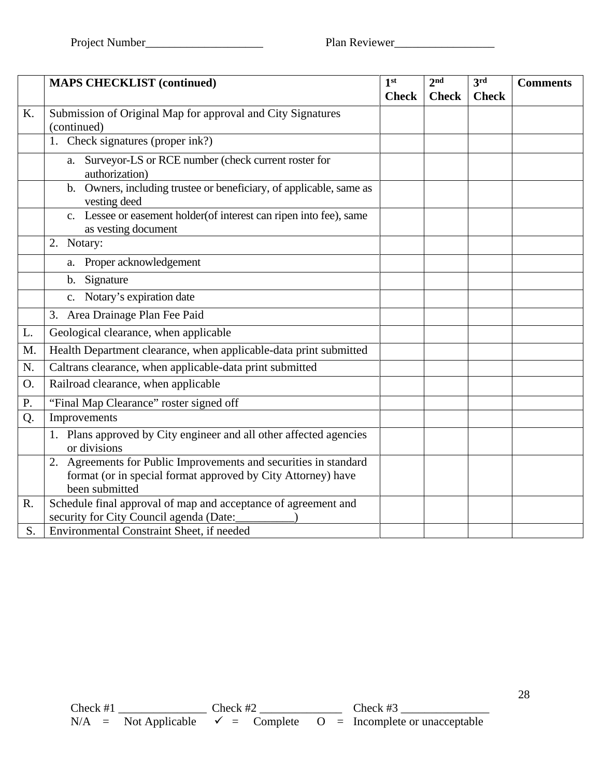|    | <b>MAPS CHECKLIST (continued)</b>                                                                                                                  | 1 <sup>st</sup> | 2 <sub>nd</sub> | 3rd          | <b>Comments</b> |
|----|----------------------------------------------------------------------------------------------------------------------------------------------------|-----------------|-----------------|--------------|-----------------|
|    |                                                                                                                                                    | <b>Check</b>    | <b>Check</b>    | <b>Check</b> |                 |
| K. | Submission of Original Map for approval and City Signatures<br>(continued)                                                                         |                 |                 |              |                 |
|    | 1. Check signatures (proper ink?)                                                                                                                  |                 |                 |              |                 |
|    | a. Surveyor-LS or RCE number (check current roster for<br>authorization)                                                                           |                 |                 |              |                 |
|    | b. Owners, including trustee or beneficiary, of applicable, same as<br>vesting deed                                                                |                 |                 |              |                 |
|    | c. Lessee or easement holder (of interest can ripen into fee), same<br>as vesting document                                                         |                 |                 |              |                 |
|    | 2. Notary:                                                                                                                                         |                 |                 |              |                 |
|    | a. Proper acknowledgement                                                                                                                          |                 |                 |              |                 |
|    | b. Signature                                                                                                                                       |                 |                 |              |                 |
|    | c. Notary's expiration date                                                                                                                        |                 |                 |              |                 |
|    | 3. Area Drainage Plan Fee Paid                                                                                                                     |                 |                 |              |                 |
| L. | Geological clearance, when applicable                                                                                                              |                 |                 |              |                 |
| M. | Health Department clearance, when applicable-data print submitted                                                                                  |                 |                 |              |                 |
| N. | Caltrans clearance, when applicable-data print submitted                                                                                           |                 |                 |              |                 |
| O. | Railroad clearance, when applicable                                                                                                                |                 |                 |              |                 |
| P. | "Final Map Clearance" roster signed off                                                                                                            |                 |                 |              |                 |
| Q. | Improvements                                                                                                                                       |                 |                 |              |                 |
|    | 1. Plans approved by City engineer and all other affected agencies<br>or divisions                                                                 |                 |                 |              |                 |
|    | 2. Agreements for Public Improvements and securities in standard<br>format (or in special format approved by City Attorney) have<br>been submitted |                 |                 |              |                 |
| R. | Schedule final approval of map and acceptance of agreement and<br>security for City Council agenda (Date:                                          |                 |                 |              |                 |
| S. | Environmental Constraint Sheet, if needed                                                                                                          |                 |                 |              |                 |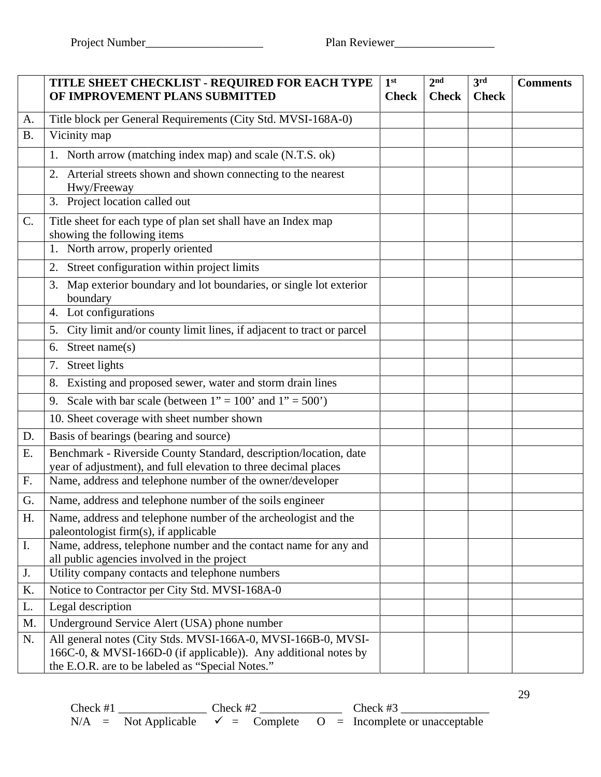|           | TITLE SHEET CHECKLIST - REQUIRED FOR EACH TYPE<br>OF IMPROVEMENT PLANS SUBMITTED                                                                                                     | 1 <sup>st</sup><br><b>Check</b> | 2 <sup>nd</sup><br><b>Check</b> | 3rd<br><b>Check</b> | <b>Comments</b> |
|-----------|--------------------------------------------------------------------------------------------------------------------------------------------------------------------------------------|---------------------------------|---------------------------------|---------------------|-----------------|
| A.        | Title block per General Requirements (City Std. MVSI-168A-0)                                                                                                                         |                                 |                                 |                     |                 |
| <b>B.</b> | Vicinity map                                                                                                                                                                         |                                 |                                 |                     |                 |
|           | 1. North arrow (matching index map) and scale (N.T.S. ok)                                                                                                                            |                                 |                                 |                     |                 |
|           | Arterial streets shown and shown connecting to the nearest<br>2.<br>Hwy/Freeway                                                                                                      |                                 |                                 |                     |                 |
|           | 3. Project location called out                                                                                                                                                       |                                 |                                 |                     |                 |
| C.        | Title sheet for each type of plan set shall have an Index map<br>showing the following items                                                                                         |                                 |                                 |                     |                 |
|           | 1. North arrow, properly oriented                                                                                                                                                    |                                 |                                 |                     |                 |
|           | Street configuration within project limits<br>2.                                                                                                                                     |                                 |                                 |                     |                 |
|           | Map exterior boundary and lot boundaries, or single lot exterior<br>3.<br>boundary                                                                                                   |                                 |                                 |                     |                 |
|           | 4. Lot configurations                                                                                                                                                                |                                 |                                 |                     |                 |
|           | City limit and/or county limit lines, if adjacent to tract or parcel<br>5.                                                                                                           |                                 |                                 |                     |                 |
|           | Street name $(s)$<br>6.                                                                                                                                                              |                                 |                                 |                     |                 |
|           | Street lights<br>7.                                                                                                                                                                  |                                 |                                 |                     |                 |
|           | Existing and proposed sewer, water and storm drain lines<br>8.                                                                                                                       |                                 |                                 |                     |                 |
|           | Scale with bar scale (between $1" = 100'$ and $1" = 500'$ )<br>9.                                                                                                                    |                                 |                                 |                     |                 |
|           | 10. Sheet coverage with sheet number shown                                                                                                                                           |                                 |                                 |                     |                 |
| D.        | Basis of bearings (bearing and source)                                                                                                                                               |                                 |                                 |                     |                 |
| Ε.        | Benchmark - Riverside County Standard, description/location, date<br>year of adjustment), and full elevation to three decimal places                                                 |                                 |                                 |                     |                 |
| F.        | Name, address and telephone number of the owner/developer                                                                                                                            |                                 |                                 |                     |                 |
| G.        | Name, address and telephone number of the soils engineer                                                                                                                             |                                 |                                 |                     |                 |
| H.        | Name, address and telephone number of the archeologist and the<br>paleontologist firm(s), if applicable                                                                              |                                 |                                 |                     |                 |
| I.        | Name, address, telephone number and the contact name for any and<br>all public agencies involved in the project                                                                      |                                 |                                 |                     |                 |
| J.        | Utility company contacts and telephone numbers                                                                                                                                       |                                 |                                 |                     |                 |
| Κ.        | Notice to Contractor per City Std. MVSI-168A-0                                                                                                                                       |                                 |                                 |                     |                 |
| L.        | Legal description                                                                                                                                                                    |                                 |                                 |                     |                 |
| M.        | Underground Service Alert (USA) phone number                                                                                                                                         |                                 |                                 |                     |                 |
| N.        | All general notes (City Stds. MVSI-166A-0, MVSI-166B-0, MVSI-<br>166C-0, & MVSI-166D-0 (if applicable)). Any additional notes by<br>the E.O.R. are to be labeled as "Special Notes." |                                 |                                 |                     |                 |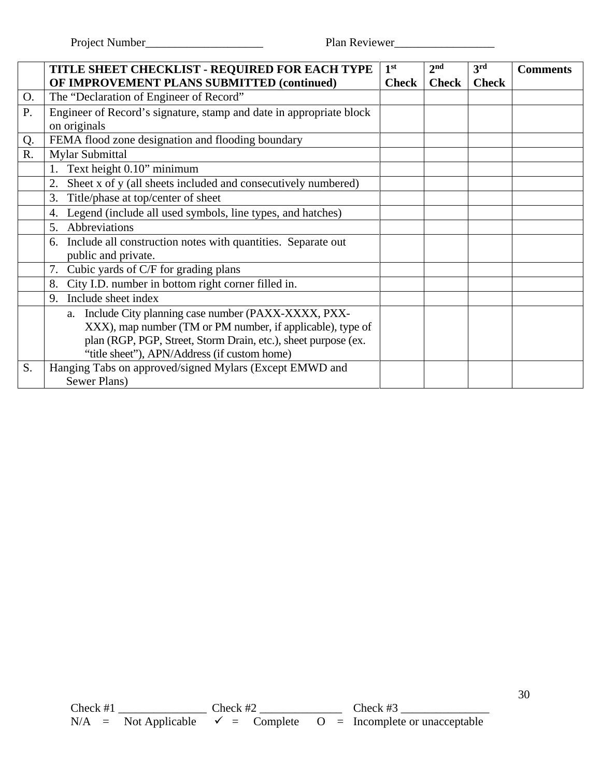|    | TITLE SHEET CHECKLIST - REQUIRED FOR EACH TYPE                                                                                                                                                                                        | 1 <sup>st</sup> | 2 <sup>nd</sup> | 3 <sup>rd</sup> | <b>Comments</b> |
|----|---------------------------------------------------------------------------------------------------------------------------------------------------------------------------------------------------------------------------------------|-----------------|-----------------|-----------------|-----------------|
|    | OF IMPROVEMENT PLANS SUBMITTED (continued)                                                                                                                                                                                            | <b>Check</b>    | <b>Check</b>    | <b>Check</b>    |                 |
| O. | The "Declaration of Engineer of Record"                                                                                                                                                                                               |                 |                 |                 |                 |
| P. | Engineer of Record's signature, stamp and date in appropriate block<br>on originals                                                                                                                                                   |                 |                 |                 |                 |
| Q. | FEMA flood zone designation and flooding boundary                                                                                                                                                                                     |                 |                 |                 |                 |
| R. | <b>Mylar Submittal</b>                                                                                                                                                                                                                |                 |                 |                 |                 |
|    | Text height 0.10" minimum                                                                                                                                                                                                             |                 |                 |                 |                 |
|    | Sheet x of y (all sheets included and consecutively numbered)<br>2.                                                                                                                                                                   |                 |                 |                 |                 |
|    | Title/phase at top/center of sheet<br>3.                                                                                                                                                                                              |                 |                 |                 |                 |
|    | Legend (include all used symbols, line types, and hatches)<br>4.                                                                                                                                                                      |                 |                 |                 |                 |
|    | Abbreviations<br>5.                                                                                                                                                                                                                   |                 |                 |                 |                 |
|    | Include all construction notes with quantities. Separate out<br>6.<br>public and private.                                                                                                                                             |                 |                 |                 |                 |
|    | Cubic yards of C/F for grading plans<br>7.                                                                                                                                                                                            |                 |                 |                 |                 |
|    | City I.D. number in bottom right corner filled in.<br>8.                                                                                                                                                                              |                 |                 |                 |                 |
|    | Include sheet index<br>9.                                                                                                                                                                                                             |                 |                 |                 |                 |
|    | a. Include City planning case number (PAXX-XXXX, PXX-<br>XXX), map number (TM or PM number, if applicable), type of<br>plan (RGP, PGP, Street, Storm Drain, etc.), sheet purpose (ex.<br>"title sheet"), APN/Address (if custom home) |                 |                 |                 |                 |
| S. | Hanging Tabs on approved/signed Mylars (Except EMWD and                                                                                                                                                                               |                 |                 |                 |                 |
|    | Sewer Plans)                                                                                                                                                                                                                          |                 |                 |                 |                 |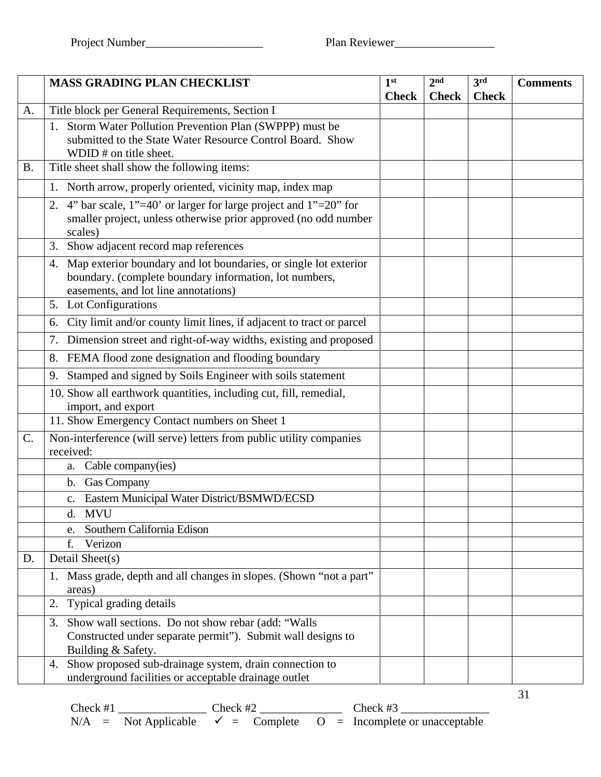|           | <b>MASS GRADING PLAN CHECKLIST</b>                                                                                                                                    | 1 <sup>st</sup><br><b>Check</b> | 2 <sub>nd</sub><br><b>Check</b> | 3rd<br><b>Check</b> | <b>Comments</b> |
|-----------|-----------------------------------------------------------------------------------------------------------------------------------------------------------------------|---------------------------------|---------------------------------|---------------------|-----------------|
| A.        | Title block per General Requirements, Section I                                                                                                                       |                                 |                                 |                     |                 |
|           | Storm Water Pollution Prevention Plan (SWPPP) must be<br>submitted to the State Water Resource Control Board. Show<br>WDID # on title sheet.                          |                                 |                                 |                     |                 |
| <b>B.</b> | Title sheet shall show the following items:                                                                                                                           |                                 |                                 |                     |                 |
|           | 1. North arrow, properly oriented, vicinity map, index map                                                                                                            |                                 |                                 |                     |                 |
|           | 2. 4" bar scale, 1"=40' or larger for large project and 1"=20" for<br>smaller project, unless otherwise prior approved (no odd number<br>scales)                      |                                 |                                 |                     |                 |
|           | Show adjacent record map references<br>3.                                                                                                                             |                                 |                                 |                     |                 |
|           | 4. Map exterior boundary and lot boundaries, or single lot exterior<br>boundary. (complete boundary information, lot numbers,<br>easements, and lot line annotations) |                                 |                                 |                     |                 |
|           | 5. Lot Configurations                                                                                                                                                 |                                 |                                 |                     |                 |
|           | City limit and/or county limit lines, if adjacent to tract or parcel<br>6.                                                                                            |                                 |                                 |                     |                 |
|           | 7. Dimension street and right-of-way widths, existing and proposed                                                                                                    |                                 |                                 |                     |                 |
|           | 8. FEMA flood zone designation and flooding boundary                                                                                                                  |                                 |                                 |                     |                 |
|           | Stamped and signed by Soils Engineer with soils statement<br>9.                                                                                                       |                                 |                                 |                     |                 |
|           | 10. Show all earthwork quantities, including cut, fill, remedial,<br>import, and export                                                                               |                                 |                                 |                     |                 |
|           | 11. Show Emergency Contact numbers on Sheet 1                                                                                                                         |                                 |                                 |                     |                 |
| C.        | Non-interference (will serve) letters from public utility companies<br>received:                                                                                      |                                 |                                 |                     |                 |
|           | a. Cable company(ies)                                                                                                                                                 |                                 |                                 |                     |                 |
|           | b. Gas Company                                                                                                                                                        |                                 |                                 |                     |                 |
|           | c. Eastern Municipal Water District/BSMWD/ECSD                                                                                                                        |                                 |                                 |                     |                 |
|           | <b>MVU</b><br>d.                                                                                                                                                      |                                 |                                 |                     |                 |
|           | Southern California Edison<br>e.                                                                                                                                      |                                 |                                 |                     |                 |
|           | f.<br>Verizon                                                                                                                                                         |                                 |                                 |                     |                 |
| D.        | Detail Sheet(s)                                                                                                                                                       |                                 |                                 |                     |                 |
|           | Mass grade, depth and all changes in slopes. (Shown "not a part"<br>1.<br>areas)                                                                                      |                                 |                                 |                     |                 |
|           | Typical grading details<br>2.                                                                                                                                         |                                 |                                 |                     |                 |
|           | Show wall sections. Do not show rebar (add: "Walls"<br>3.<br>Constructed under separate permit"). Submit wall designs to<br>Building & Safety.                        |                                 |                                 |                     |                 |
|           | Show proposed sub-drainage system, drain connection to<br>4.<br>underground facilities or acceptable drainage outlet                                                  |                                 |                                 |                     |                 |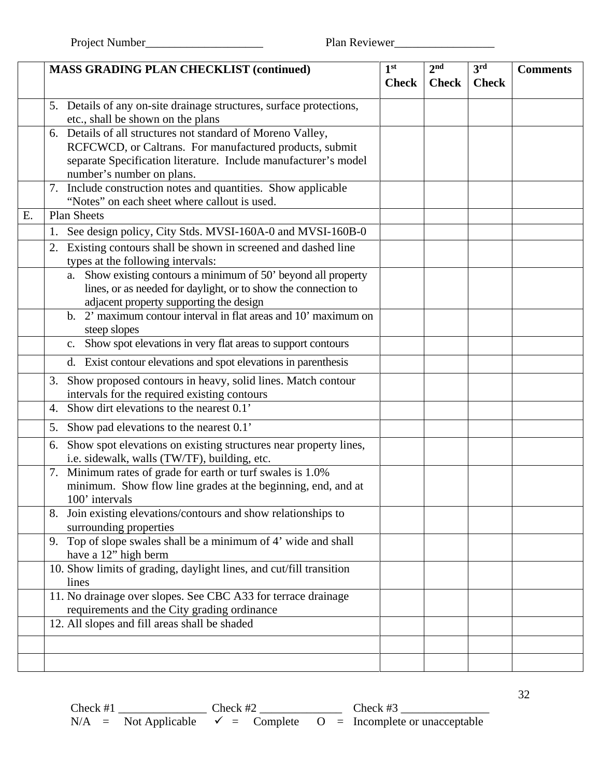|    | <b>MASS GRADING PLAN CHECKLIST (continued)</b>                                                                                                                                                                         | 1 <sup>st</sup><br><b>Check</b> | 2 <sub>nd</sub><br><b>Check</b> | 3rd<br><b>Check</b> | <b>Comments</b> |
|----|------------------------------------------------------------------------------------------------------------------------------------------------------------------------------------------------------------------------|---------------------------------|---------------------------------|---------------------|-----------------|
|    | 5. Details of any on-site drainage structures, surface protections,<br>etc., shall be shown on the plans                                                                                                               |                                 |                                 |                     |                 |
|    | 6. Details of all structures not standard of Moreno Valley,<br>RCFCWCD, or Caltrans. For manufactured products, submit<br>separate Specification literature. Include manufacturer's model<br>number's number on plans. |                                 |                                 |                     |                 |
|    | 7. Include construction notes and quantities. Show applicable<br>"Notes" on each sheet where callout is used.                                                                                                          |                                 |                                 |                     |                 |
| E. | <b>Plan Sheets</b>                                                                                                                                                                                                     |                                 |                                 |                     |                 |
|    | See design policy, City Stds. MVSI-160A-0 and MVSI-160B-0<br>1.                                                                                                                                                        |                                 |                                 |                     |                 |
|    | Existing contours shall be shown in screened and dashed line<br>2.<br>types at the following intervals:                                                                                                                |                                 |                                 |                     |                 |
|    | a. Show existing contours a minimum of 50' beyond all property<br>lines, or as needed for daylight, or to show the connection to<br>adjacent property supporting the design                                            |                                 |                                 |                     |                 |
|    | b. 2' maximum contour interval in flat areas and 10' maximum on<br>steep slopes                                                                                                                                        |                                 |                                 |                     |                 |
|    | c. Show spot elevations in very flat areas to support contours                                                                                                                                                         |                                 |                                 |                     |                 |
|    | d. Exist contour elevations and spot elevations in parenthesis                                                                                                                                                         |                                 |                                 |                     |                 |
|    | Show proposed contours in heavy, solid lines. Match contour<br>3.<br>intervals for the required existing contours                                                                                                      |                                 |                                 |                     |                 |
|    | Show dirt elevations to the nearest 0.1'<br>4.                                                                                                                                                                         |                                 |                                 |                     |                 |
|    | Show pad elevations to the nearest 0.1'<br>5.                                                                                                                                                                          |                                 |                                 |                     |                 |
|    | 6. Show spot elevations on existing structures near property lines,<br>i.e. sidewalk, walls (TW/TF), building, etc.                                                                                                    |                                 |                                 |                     |                 |
|    | Minimum rates of grade for earth or turf swales is 1.0%<br>7.<br>minimum. Show flow line grades at the beginning, end, and at<br>100' intervals                                                                        |                                 |                                 |                     |                 |
|    | 8. Join existing elevations/contours and show relationships to<br>surrounding properties                                                                                                                               |                                 |                                 |                     |                 |
|    | 9. Top of slope swales shall be a minimum of 4' wide and shall<br>have a 12" high berm                                                                                                                                 |                                 |                                 |                     |                 |
|    | 10. Show limits of grading, daylight lines, and cut/fill transition<br>lines                                                                                                                                           |                                 |                                 |                     |                 |
|    | 11. No drainage over slopes. See CBC A33 for terrace drainage<br>requirements and the City grading ordinance                                                                                                           |                                 |                                 |                     |                 |
|    | 12. All slopes and fill areas shall be shaded                                                                                                                                                                          |                                 |                                 |                     |                 |
|    |                                                                                                                                                                                                                        |                                 |                                 |                     |                 |
|    |                                                                                                                                                                                                                        |                                 |                                 |                     |                 |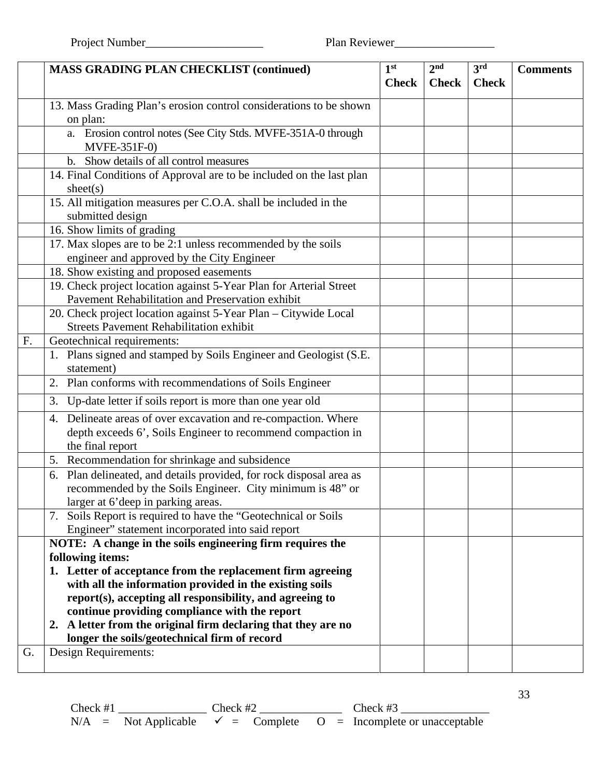|    | <b>MASS GRADING PLAN CHECKLIST (continued)</b>                                                                                                                                                                                                                                                                                                                                                                                          | 1 <sup>st</sup><br><b>Check</b> | 2 <sub>nd</sub><br><b>Check</b> | 3 <sup>rd</sup><br><b>Check</b> | <b>Comments</b> |
|----|-----------------------------------------------------------------------------------------------------------------------------------------------------------------------------------------------------------------------------------------------------------------------------------------------------------------------------------------------------------------------------------------------------------------------------------------|---------------------------------|---------------------------------|---------------------------------|-----------------|
|    | 13. Mass Grading Plan's erosion control considerations to be shown<br>on plan:                                                                                                                                                                                                                                                                                                                                                          |                                 |                                 |                                 |                 |
|    | a. Erosion control notes (See City Stds. MVFE-351A-0 through<br>MVFE-351F-0)                                                                                                                                                                                                                                                                                                                                                            |                                 |                                 |                                 |                 |
|    | b. Show details of all control measures                                                                                                                                                                                                                                                                                                                                                                                                 |                                 |                                 |                                 |                 |
|    | 14. Final Conditions of Approval are to be included on the last plan<br>sheet(s)                                                                                                                                                                                                                                                                                                                                                        |                                 |                                 |                                 |                 |
|    | 15. All mitigation measures per C.O.A. shall be included in the<br>submitted design                                                                                                                                                                                                                                                                                                                                                     |                                 |                                 |                                 |                 |
|    | 16. Show limits of grading                                                                                                                                                                                                                                                                                                                                                                                                              |                                 |                                 |                                 |                 |
|    | 17. Max slopes are to be 2:1 unless recommended by the soils<br>engineer and approved by the City Engineer                                                                                                                                                                                                                                                                                                                              |                                 |                                 |                                 |                 |
|    | 18. Show existing and proposed easements                                                                                                                                                                                                                                                                                                                                                                                                |                                 |                                 |                                 |                 |
|    | 19. Check project location against 5-Year Plan for Arterial Street<br>Pavement Rehabilitation and Preservation exhibit                                                                                                                                                                                                                                                                                                                  |                                 |                                 |                                 |                 |
|    | 20. Check project location against 5-Year Plan - Citywide Local<br><b>Streets Pavement Rehabilitation exhibit</b>                                                                                                                                                                                                                                                                                                                       |                                 |                                 |                                 |                 |
| F. | Geotechnical requirements:                                                                                                                                                                                                                                                                                                                                                                                                              |                                 |                                 |                                 |                 |
|    | 1. Plans signed and stamped by Soils Engineer and Geologist (S.E.<br>statement)                                                                                                                                                                                                                                                                                                                                                         |                                 |                                 |                                 |                 |
|    | Plan conforms with recommendations of Soils Engineer<br>2.                                                                                                                                                                                                                                                                                                                                                                              |                                 |                                 |                                 |                 |
|    | Up-date letter if soils report is more than one year old<br>3.                                                                                                                                                                                                                                                                                                                                                                          |                                 |                                 |                                 |                 |
|    | 4. Delineate areas of over excavation and re-compaction. Where<br>depth exceeds 6', Soils Engineer to recommend compaction in<br>the final report                                                                                                                                                                                                                                                                                       |                                 |                                 |                                 |                 |
|    | 5. Recommendation for shrinkage and subsidence                                                                                                                                                                                                                                                                                                                                                                                          |                                 |                                 |                                 |                 |
|    | 6. Plan delineated, and details provided, for rock disposal area as<br>recommended by the Soils Engineer. City minimum is 48" or<br>larger at 6'deep in parking areas.                                                                                                                                                                                                                                                                  |                                 |                                 |                                 |                 |
|    | 7. Soils Report is required to have the "Geotechnical or Soils"<br>Engineer" statement incorporated into said report                                                                                                                                                                                                                                                                                                                    |                                 |                                 |                                 |                 |
|    | NOTE: A change in the soils engineering firm requires the<br>following items:<br>1. Letter of acceptance from the replacement firm agreeing<br>with all the information provided in the existing soils<br>report(s), accepting all responsibility, and agreeing to<br>continue providing compliance with the report<br>A letter from the original firm declaring that they are no<br>2.<br>longer the soils/geotechnical firm of record |                                 |                                 |                                 |                 |
| G. | Design Requirements:                                                                                                                                                                                                                                                                                                                                                                                                                    |                                 |                                 |                                 |                 |
|    |                                                                                                                                                                                                                                                                                                                                                                                                                                         |                                 |                                 |                                 |                 |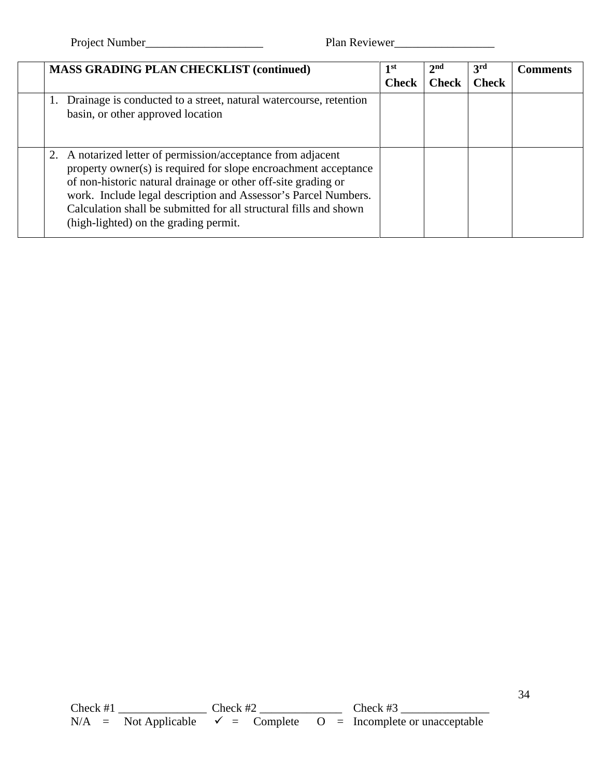| <b>MASS GRADING PLAN CHECKLIST (continued)</b>                                                                                                                                                                                                                                                                                                                                   | 1st<br><b>Check</b> | 2 <sub>nd</sub><br><b>Check</b> | 3 <sup>rd</sup><br><b>Check</b> | <b>Comments</b> |
|----------------------------------------------------------------------------------------------------------------------------------------------------------------------------------------------------------------------------------------------------------------------------------------------------------------------------------------------------------------------------------|---------------------|---------------------------------|---------------------------------|-----------------|
| Drainage is conducted to a street, natural watercourse, retention<br>basin, or other approved location                                                                                                                                                                                                                                                                           |                     |                                 |                                 |                 |
| 2. A notarized letter of permission/acceptance from adjacent<br>property owner(s) is required for slope encroachment acceptance<br>of non-historic natural drainage or other off-site grading or<br>work. Include legal description and Assessor's Parcel Numbers.<br>Calculation shall be submitted for all structural fills and shown<br>(high-lighted) on the grading permit. |                     |                                 |                                 |                 |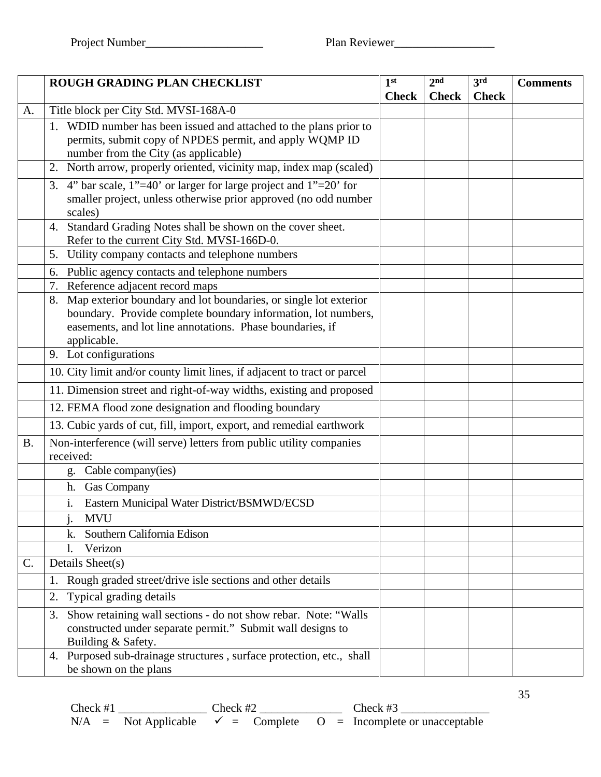|           | ROUGH GRADING PLAN CHECKLIST                                                                                                                                                                                     | 1 <sup>st</sup><br><b>Check</b> | 2 <sub>nd</sub><br><b>Check</b> | 3rd<br><b>Check</b> | <b>Comments</b> |
|-----------|------------------------------------------------------------------------------------------------------------------------------------------------------------------------------------------------------------------|---------------------------------|---------------------------------|---------------------|-----------------|
| A.        | Title block per City Std. MVSI-168A-0                                                                                                                                                                            |                                 |                                 |                     |                 |
|           | 1. WDID number has been issued and attached to the plans prior to<br>permits, submit copy of NPDES permit, and apply WQMP ID<br>number from the City (as applicable)                                             |                                 |                                 |                     |                 |
|           | North arrow, properly oriented, vicinity map, index map (scaled)<br>2.                                                                                                                                           |                                 |                                 |                     |                 |
|           | 3. 4" bar scale, $1"=40'$ or larger for large project and $1"=20'$ for<br>smaller project, unless otherwise prior approved (no odd number<br>scales)                                                             |                                 |                                 |                     |                 |
|           | Standard Grading Notes shall be shown on the cover sheet.<br>4.<br>Refer to the current City Std. MVSI-166D-0.                                                                                                   |                                 |                                 |                     |                 |
|           | Utility company contacts and telephone numbers<br>5.                                                                                                                                                             |                                 |                                 |                     |                 |
|           | Public agency contacts and telephone numbers<br>6.                                                                                                                                                               |                                 |                                 |                     |                 |
|           | Reference adjacent record maps<br>7.                                                                                                                                                                             |                                 |                                 |                     |                 |
|           | 8. Map exterior boundary and lot boundaries, or single lot exterior<br>boundary. Provide complete boundary information, lot numbers,<br>easements, and lot line annotations. Phase boundaries, if<br>applicable. |                                 |                                 |                     |                 |
|           | 9. Lot configurations                                                                                                                                                                                            |                                 |                                 |                     |                 |
|           | 10. City limit and/or county limit lines, if adjacent to tract or parcel                                                                                                                                         |                                 |                                 |                     |                 |
|           | 11. Dimension street and right-of-way widths, existing and proposed                                                                                                                                              |                                 |                                 |                     |                 |
|           | 12. FEMA flood zone designation and flooding boundary                                                                                                                                                            |                                 |                                 |                     |                 |
|           | 13. Cubic yards of cut, fill, import, export, and remedial earthwork                                                                                                                                             |                                 |                                 |                     |                 |
| <b>B.</b> | Non-interference (will serve) letters from public utility companies<br>received:                                                                                                                                 |                                 |                                 |                     |                 |
|           | Cable company(ies)<br>g.                                                                                                                                                                                         |                                 |                                 |                     |                 |
|           | Gas Company<br>h.                                                                                                                                                                                                |                                 |                                 |                     |                 |
|           | Eastern Municipal Water District/BSMWD/ECSD<br>i.                                                                                                                                                                |                                 |                                 |                     |                 |
|           | <b>MVU</b><br>1.                                                                                                                                                                                                 |                                 |                                 |                     |                 |
|           | Southern California Edison<br>k.                                                                                                                                                                                 |                                 |                                 |                     |                 |
|           | Verizon<br>1.                                                                                                                                                                                                    |                                 |                                 |                     |                 |
| C.        | Details Sheet(s)                                                                                                                                                                                                 |                                 |                                 |                     |                 |
|           | Rough graded street/drive isle sections and other details<br>1.                                                                                                                                                  |                                 |                                 |                     |                 |
|           | Typical grading details<br>2.                                                                                                                                                                                    |                                 |                                 |                     |                 |
|           | Show retaining wall sections - do not show rebar. Note: "Walls<br>3.<br>constructed under separate permit." Submit wall designs to<br>Building & Safety.                                                         |                                 |                                 |                     |                 |
|           | Purposed sub-drainage structures, surface protection, etc., shall<br>4.<br>be shown on the plans                                                                                                                 |                                 |                                 |                     |                 |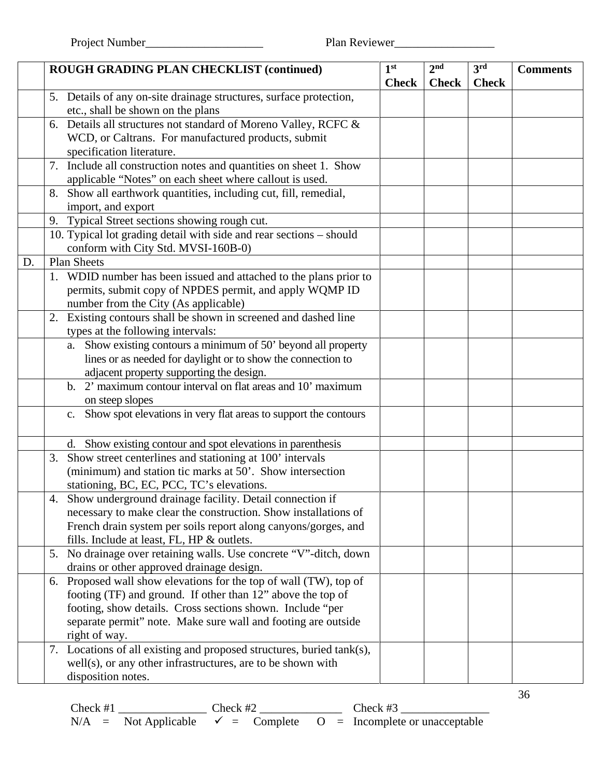|    | ROUGH GRADING PLAN CHECKLIST (continued)                                                                                                                                                                                                                                                                                                                                                                                                                                                                                                                                                                                                                                                                                                                                                                                                                                                                                 | 1 <sup>st</sup><br><b>Check</b> | 2 <sub>nd</sub><br><b>Check</b> | 3rd<br><b>Check</b> | <b>Comments</b> |
|----|--------------------------------------------------------------------------------------------------------------------------------------------------------------------------------------------------------------------------------------------------------------------------------------------------------------------------------------------------------------------------------------------------------------------------------------------------------------------------------------------------------------------------------------------------------------------------------------------------------------------------------------------------------------------------------------------------------------------------------------------------------------------------------------------------------------------------------------------------------------------------------------------------------------------------|---------------------------------|---------------------------------|---------------------|-----------------|
|    | 5. Details of any on-site drainage structures, surface protection,<br>etc., shall be shown on the plans                                                                                                                                                                                                                                                                                                                                                                                                                                                                                                                                                                                                                                                                                                                                                                                                                  |                                 |                                 |                     |                 |
|    | 6. Details all structures not standard of Moreno Valley, RCFC &                                                                                                                                                                                                                                                                                                                                                                                                                                                                                                                                                                                                                                                                                                                                                                                                                                                          |                                 |                                 |                     |                 |
|    | WCD, or Caltrans. For manufactured products, submit                                                                                                                                                                                                                                                                                                                                                                                                                                                                                                                                                                                                                                                                                                                                                                                                                                                                      |                                 |                                 |                     |                 |
|    | specification literature.                                                                                                                                                                                                                                                                                                                                                                                                                                                                                                                                                                                                                                                                                                                                                                                                                                                                                                |                                 |                                 |                     |                 |
|    | Include all construction notes and quantities on sheet 1. Show<br>7.                                                                                                                                                                                                                                                                                                                                                                                                                                                                                                                                                                                                                                                                                                                                                                                                                                                     |                                 |                                 |                     |                 |
|    | applicable "Notes" on each sheet where callout is used.                                                                                                                                                                                                                                                                                                                                                                                                                                                                                                                                                                                                                                                                                                                                                                                                                                                                  |                                 |                                 |                     |                 |
|    | Show all earthwork quantities, including cut, fill, remedial,<br>8.                                                                                                                                                                                                                                                                                                                                                                                                                                                                                                                                                                                                                                                                                                                                                                                                                                                      |                                 |                                 |                     |                 |
|    | import, and export                                                                                                                                                                                                                                                                                                                                                                                                                                                                                                                                                                                                                                                                                                                                                                                                                                                                                                       |                                 |                                 |                     |                 |
|    | 9. Typical Street sections showing rough cut.                                                                                                                                                                                                                                                                                                                                                                                                                                                                                                                                                                                                                                                                                                                                                                                                                                                                            |                                 |                                 |                     |                 |
|    | 10. Typical lot grading detail with side and rear sections - should                                                                                                                                                                                                                                                                                                                                                                                                                                                                                                                                                                                                                                                                                                                                                                                                                                                      |                                 |                                 |                     |                 |
|    | conform with City Std. MVSI-160B-0)                                                                                                                                                                                                                                                                                                                                                                                                                                                                                                                                                                                                                                                                                                                                                                                                                                                                                      |                                 |                                 |                     |                 |
| D. | Plan Sheets                                                                                                                                                                                                                                                                                                                                                                                                                                                                                                                                                                                                                                                                                                                                                                                                                                                                                                              |                                 |                                 |                     |                 |
|    | 1. WDID number has been issued and attached to the plans prior to                                                                                                                                                                                                                                                                                                                                                                                                                                                                                                                                                                                                                                                                                                                                                                                                                                                        |                                 |                                 |                     |                 |
|    | permits, submit copy of NPDES permit, and apply WQMP ID                                                                                                                                                                                                                                                                                                                                                                                                                                                                                                                                                                                                                                                                                                                                                                                                                                                                  |                                 |                                 |                     |                 |
|    | number from the City (As applicable)                                                                                                                                                                                                                                                                                                                                                                                                                                                                                                                                                                                                                                                                                                                                                                                                                                                                                     |                                 |                                 |                     |                 |
|    | Existing contours shall be shown in screened and dashed line<br>2.                                                                                                                                                                                                                                                                                                                                                                                                                                                                                                                                                                                                                                                                                                                                                                                                                                                       |                                 |                                 |                     |                 |
|    | types at the following intervals:                                                                                                                                                                                                                                                                                                                                                                                                                                                                                                                                                                                                                                                                                                                                                                                                                                                                                        |                                 |                                 |                     |                 |
|    | Show existing contours a minimum of 50' beyond all property<br>a.                                                                                                                                                                                                                                                                                                                                                                                                                                                                                                                                                                                                                                                                                                                                                                                                                                                        |                                 |                                 |                     |                 |
|    | lines or as needed for daylight or to show the connection to                                                                                                                                                                                                                                                                                                                                                                                                                                                                                                                                                                                                                                                                                                                                                                                                                                                             |                                 |                                 |                     |                 |
|    | adjacent property supporting the design.                                                                                                                                                                                                                                                                                                                                                                                                                                                                                                                                                                                                                                                                                                                                                                                                                                                                                 |                                 |                                 |                     |                 |
|    | b. 2' maximum contour interval on flat areas and 10' maximum                                                                                                                                                                                                                                                                                                                                                                                                                                                                                                                                                                                                                                                                                                                                                                                                                                                             |                                 |                                 |                     |                 |
|    | on steep slopes                                                                                                                                                                                                                                                                                                                                                                                                                                                                                                                                                                                                                                                                                                                                                                                                                                                                                                          |                                 |                                 |                     |                 |
|    | Show spot elevations in very flat areas to support the contours<br>C <sub>1</sub>                                                                                                                                                                                                                                                                                                                                                                                                                                                                                                                                                                                                                                                                                                                                                                                                                                        |                                 |                                 |                     |                 |
|    | d. Show existing contour and spot elevations in parenthesis                                                                                                                                                                                                                                                                                                                                                                                                                                                                                                                                                                                                                                                                                                                                                                                                                                                              |                                 |                                 |                     |                 |
|    | 3. Show street centerlines and stationing at 100' intervals                                                                                                                                                                                                                                                                                                                                                                                                                                                                                                                                                                                                                                                                                                                                                                                                                                                              |                                 |                                 |                     |                 |
|    |                                                                                                                                                                                                                                                                                                                                                                                                                                                                                                                                                                                                                                                                                                                                                                                                                                                                                                                          |                                 |                                 |                     |                 |
|    |                                                                                                                                                                                                                                                                                                                                                                                                                                                                                                                                                                                                                                                                                                                                                                                                                                                                                                                          |                                 |                                 |                     |                 |
|    |                                                                                                                                                                                                                                                                                                                                                                                                                                                                                                                                                                                                                                                                                                                                                                                                                                                                                                                          |                                 |                                 |                     |                 |
|    |                                                                                                                                                                                                                                                                                                                                                                                                                                                                                                                                                                                                                                                                                                                                                                                                                                                                                                                          |                                 |                                 |                     |                 |
|    |                                                                                                                                                                                                                                                                                                                                                                                                                                                                                                                                                                                                                                                                                                                                                                                                                                                                                                                          |                                 |                                 |                     |                 |
|    |                                                                                                                                                                                                                                                                                                                                                                                                                                                                                                                                                                                                                                                                                                                                                                                                                                                                                                                          |                                 |                                 |                     |                 |
|    |                                                                                                                                                                                                                                                                                                                                                                                                                                                                                                                                                                                                                                                                                                                                                                                                                                                                                                                          |                                 |                                 |                     |                 |
|    |                                                                                                                                                                                                                                                                                                                                                                                                                                                                                                                                                                                                                                                                                                                                                                                                                                                                                                                          |                                 |                                 |                     |                 |
|    |                                                                                                                                                                                                                                                                                                                                                                                                                                                                                                                                                                                                                                                                                                                                                                                                                                                                                                                          |                                 |                                 |                     |                 |
|    |                                                                                                                                                                                                                                                                                                                                                                                                                                                                                                                                                                                                                                                                                                                                                                                                                                                                                                                          |                                 |                                 |                     |                 |
|    |                                                                                                                                                                                                                                                                                                                                                                                                                                                                                                                                                                                                                                                                                                                                                                                                                                                                                                                          |                                 |                                 |                     |                 |
|    |                                                                                                                                                                                                                                                                                                                                                                                                                                                                                                                                                                                                                                                                                                                                                                                                                                                                                                                          |                                 |                                 |                     |                 |
|    |                                                                                                                                                                                                                                                                                                                                                                                                                                                                                                                                                                                                                                                                                                                                                                                                                                                                                                                          |                                 |                                 |                     |                 |
|    |                                                                                                                                                                                                                                                                                                                                                                                                                                                                                                                                                                                                                                                                                                                                                                                                                                                                                                                          |                                 |                                 |                     |                 |
|    |                                                                                                                                                                                                                                                                                                                                                                                                                                                                                                                                                                                                                                                                                                                                                                                                                                                                                                                          |                                 |                                 |                     |                 |
|    | (minimum) and station tic marks at 50'. Show intersection<br>stationing, BC, EC, PCC, TC's elevations.<br>Show underground drainage facility. Detail connection if<br>necessary to make clear the construction. Show installations of<br>French drain system per soils report along canyons/gorges, and<br>fills. Include at least, FL, HP & outlets.<br>5. No drainage over retaining walls. Use concrete "V"-ditch, down<br>drains or other approved drainage design.<br>6. Proposed wall show elevations for the top of wall (TW), top of<br>footing (TF) and ground. If other than 12" above the top of<br>footing, show details. Cross sections shown. Include "per<br>separate permit" note. Make sure wall and footing are outside<br>right of way.<br>7. Locations of all existing and proposed structures, buried tank(s),<br>well(s), or any other infrastructures, are to be shown with<br>disposition notes. |                                 |                                 |                     |                 |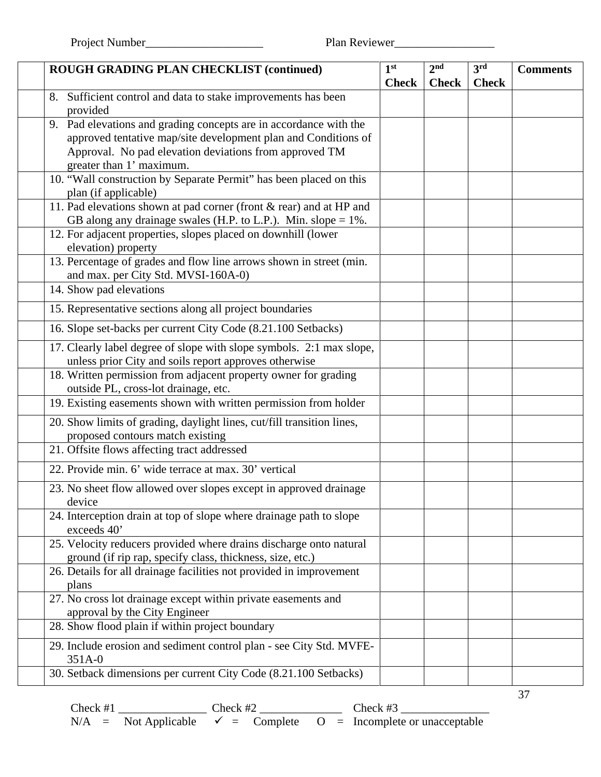| ROUGH GRADING PLAN CHECKLIST (continued)                                                                                                                                                      | 1 <sup>st</sup><br><b>Check</b> | 2 <sup>nd</sup><br><b>Check</b> | 3rd<br><b>Check</b> | <b>Comments</b> |
|-----------------------------------------------------------------------------------------------------------------------------------------------------------------------------------------------|---------------------------------|---------------------------------|---------------------|-----------------|
| 8. Sufficient control and data to stake improvements has been<br>provided                                                                                                                     |                                 |                                 |                     |                 |
| 9. Pad elevations and grading concepts are in accordance with the<br>approved tentative map/site development plan and Conditions of<br>Approval. No pad elevation deviations from approved TM |                                 |                                 |                     |                 |
| greater than 1' maximum.                                                                                                                                                                      |                                 |                                 |                     |                 |
| 10. "Wall construction by Separate Permit" has been placed on this<br>plan (if applicable)                                                                                                    |                                 |                                 |                     |                 |
| 11. Pad elevations shown at pad corner (front & rear) and at HP and<br>GB along any drainage swales (H.P. to L.P.). Min. slope $= 1\%$ .                                                      |                                 |                                 |                     |                 |
| 12. For adjacent properties, slopes placed on downhill (lower<br>elevation) property                                                                                                          |                                 |                                 |                     |                 |
| 13. Percentage of grades and flow line arrows shown in street (min.<br>and max. per City Std. MVSI-160A-0)                                                                                    |                                 |                                 |                     |                 |
| 14. Show pad elevations                                                                                                                                                                       |                                 |                                 |                     |                 |
| 15. Representative sections along all project boundaries                                                                                                                                      |                                 |                                 |                     |                 |
| 16. Slope set-backs per current City Code (8.21.100 Setbacks)                                                                                                                                 |                                 |                                 |                     |                 |
| 17. Clearly label degree of slope with slope symbols. 2:1 max slope,<br>unless prior City and soils report approves otherwise                                                                 |                                 |                                 |                     |                 |
| 18. Written permission from adjacent property owner for grading<br>outside PL, cross-lot drainage, etc.                                                                                       |                                 |                                 |                     |                 |
| 19. Existing easements shown with written permission from holder                                                                                                                              |                                 |                                 |                     |                 |
| 20. Show limits of grading, daylight lines, cut/fill transition lines,<br>proposed contours match existing                                                                                    |                                 |                                 |                     |                 |
| 21. Offsite flows affecting tract addressed                                                                                                                                                   |                                 |                                 |                     |                 |
| 22. Provide min. 6' wide terrace at max. 30' vertical                                                                                                                                         |                                 |                                 |                     |                 |
| 23. No sheet flow allowed over slopes except in approved drainage<br>device                                                                                                                   |                                 |                                 |                     |                 |
| 24. Interception drain at top of slope where drainage path to slope<br>exceeds 40'                                                                                                            |                                 |                                 |                     |                 |
| 25. Velocity reducers provided where drains discharge onto natural<br>ground (if rip rap, specify class, thickness, size, etc.)                                                               |                                 |                                 |                     |                 |
| 26. Details for all drainage facilities not provided in improvement<br>plans                                                                                                                  |                                 |                                 |                     |                 |
| 27. No cross lot drainage except within private easements and<br>approval by the City Engineer                                                                                                |                                 |                                 |                     |                 |
| 28. Show flood plain if within project boundary                                                                                                                                               |                                 |                                 |                     |                 |
| 29. Include erosion and sediment control plan - see City Std. MVFE-<br>351A-0                                                                                                                 |                                 |                                 |                     |                 |
| 30. Setback dimensions per current City Code (8.21.100 Setbacks)                                                                                                                              |                                 |                                 |                     |                 |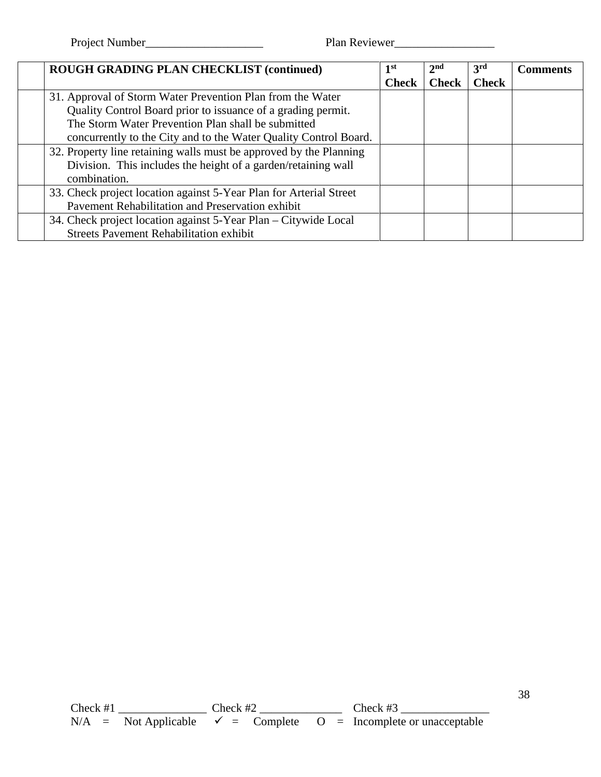| ROUGH GRADING PLAN CHECKLIST (continued)                           | 1 <sup>st</sup> | 2 <sup>nd</sup> | 3 <sup>rd</sup> | <b>Comments</b> |
|--------------------------------------------------------------------|-----------------|-----------------|-----------------|-----------------|
|                                                                    | <b>Check</b>    | <b>Check</b>    | Check           |                 |
| 31. Approval of Storm Water Prevention Plan from the Water         |                 |                 |                 |                 |
| Quality Control Board prior to issuance of a grading permit.       |                 |                 |                 |                 |
| The Storm Water Prevention Plan shall be submitted                 |                 |                 |                 |                 |
| concurrently to the City and to the Water Quality Control Board.   |                 |                 |                 |                 |
| 32. Property line retaining walls must be approved by the Planning |                 |                 |                 |                 |
| Division. This includes the height of a garden/retaining wall      |                 |                 |                 |                 |
| combination.                                                       |                 |                 |                 |                 |
| 33. Check project location against 5-Year Plan for Arterial Street |                 |                 |                 |                 |
| Pavement Rehabilitation and Preservation exhibit                   |                 |                 |                 |                 |
| 34. Check project location against 5-Year Plan – Citywide Local    |                 |                 |                 |                 |
| <b>Streets Pavement Rehabilitation exhibit</b>                     |                 |                 |                 |                 |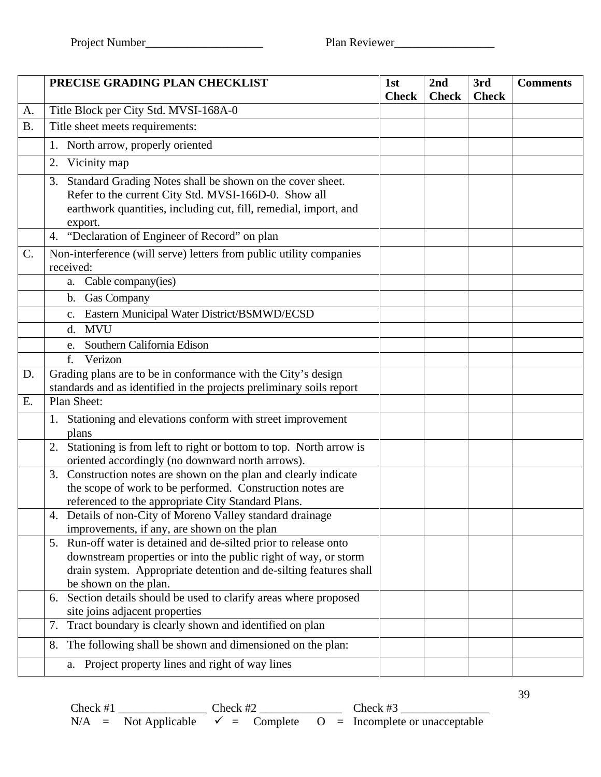|           | PRECISE GRADING PLAN CHECKLIST                                                                                                                                                                                                    | 1st<br><b>Check</b> | 2nd<br><b>Check</b> | 3rd<br><b>Check</b> | <b>Comments</b> |
|-----------|-----------------------------------------------------------------------------------------------------------------------------------------------------------------------------------------------------------------------------------|---------------------|---------------------|---------------------|-----------------|
| A.        | Title Block per City Std. MVSI-168A-0                                                                                                                                                                                             |                     |                     |                     |                 |
| <b>B.</b> | Title sheet meets requirements:                                                                                                                                                                                                   |                     |                     |                     |                 |
|           | 1. North arrow, properly oriented                                                                                                                                                                                                 |                     |                     |                     |                 |
|           | 2.<br>Vicinity map                                                                                                                                                                                                                |                     |                     |                     |                 |
|           | Standard Grading Notes shall be shown on the cover sheet.<br>3.<br>Refer to the current City Std. MVSI-166D-0. Show all<br>earthwork quantities, including cut, fill, remedial, import, and<br>export.                            |                     |                     |                     |                 |
|           | 4. "Declaration of Engineer of Record" on plan                                                                                                                                                                                    |                     |                     |                     |                 |
| C.        | Non-interference (will serve) letters from public utility companies<br>received:                                                                                                                                                  |                     |                     |                     |                 |
|           | a. Cable company(ies)                                                                                                                                                                                                             |                     |                     |                     |                 |
|           | b. Gas Company                                                                                                                                                                                                                    |                     |                     |                     |                 |
|           | c. Eastern Municipal Water District/BSMWD/ECSD                                                                                                                                                                                    |                     |                     |                     |                 |
|           | <b>MVU</b><br>$\rm d$ .                                                                                                                                                                                                           |                     |                     |                     |                 |
|           | Southern California Edison<br>e.                                                                                                                                                                                                  |                     |                     |                     |                 |
|           | f.<br>Verizon                                                                                                                                                                                                                     |                     |                     |                     |                 |
| D.        | Grading plans are to be in conformance with the City's design<br>standards and as identified in the projects preliminary soils report                                                                                             |                     |                     |                     |                 |
| E.        | Plan Sheet:                                                                                                                                                                                                                       |                     |                     |                     |                 |
|           | Stationing and elevations conform with street improvement<br>1.<br>plans                                                                                                                                                          |                     |                     |                     |                 |
|           | Stationing is from left to right or bottom to top. North arrow is<br>2.<br>oriented accordingly (no downward north arrows).                                                                                                       |                     |                     |                     |                 |
|           | 3. Construction notes are shown on the plan and clearly indicate<br>the scope of work to be performed. Construction notes are<br>referenced to the appropriate City Standard Plans.                                               |                     |                     |                     |                 |
|           | 4. Details of non-City of Moreno Valley standard drainage<br>improvements, if any, are shown on the plan                                                                                                                          |                     |                     |                     |                 |
|           | 5. Run-off water is detained and de-silted prior to release onto<br>downstream properties or into the public right of way, or storm<br>drain system. Appropriate detention and de-silting features shall<br>be shown on the plan. |                     |                     |                     |                 |
|           | Section details should be used to clarify areas where proposed<br>6.<br>site joins adjacent properties                                                                                                                            |                     |                     |                     |                 |
|           | Tract boundary is clearly shown and identified on plan<br>7.                                                                                                                                                                      |                     |                     |                     |                 |
|           | The following shall be shown and dimensioned on the plan:<br>8.                                                                                                                                                                   |                     |                     |                     |                 |
|           | Project property lines and right of way lines<br>a.                                                                                                                                                                               |                     |                     |                     |                 |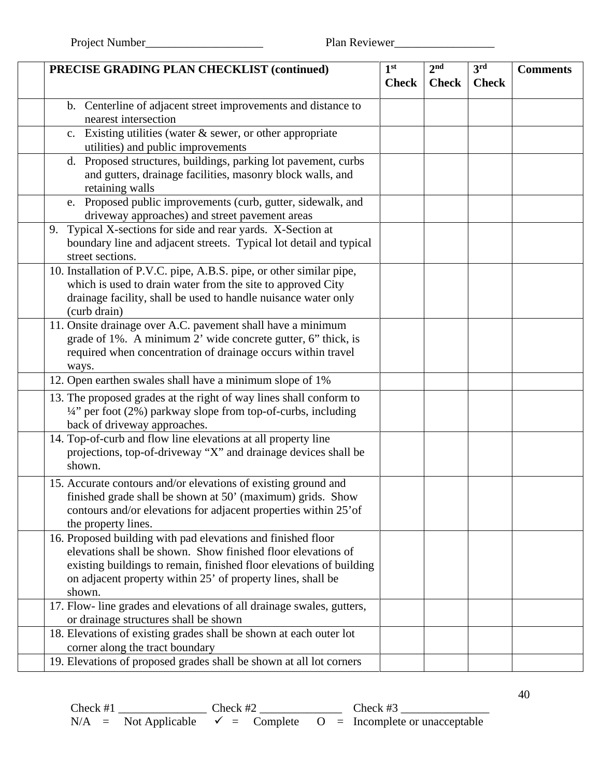| PRECISE GRADING PLAN CHECKLIST (continued)                                                                                                                                                                                                                                   | 1 <sup>st</sup><br><b>Check</b> | 2 <sub>nd</sub><br><b>Check</b> | 3rd<br><b>Check</b> | <b>Comments</b> |
|------------------------------------------------------------------------------------------------------------------------------------------------------------------------------------------------------------------------------------------------------------------------------|---------------------------------|---------------------------------|---------------------|-----------------|
| b. Centerline of adjacent street improvements and distance to<br>nearest intersection                                                                                                                                                                                        |                                 |                                 |                     |                 |
| c. Existing utilities (water $\&$ sewer, or other appropriate<br>utilities) and public improvements                                                                                                                                                                          |                                 |                                 |                     |                 |
| d. Proposed structures, buildings, parking lot pavement, curbs<br>and gutters, drainage facilities, masonry block walls, and<br>retaining walls                                                                                                                              |                                 |                                 |                     |                 |
| e. Proposed public improvements (curb, gutter, sidewalk, and<br>driveway approaches) and street pavement areas                                                                                                                                                               |                                 |                                 |                     |                 |
| Typical X-sections for side and rear yards. X-Section at<br>9.<br>boundary line and adjacent streets. Typical lot detail and typical<br>street sections.                                                                                                                     |                                 |                                 |                     |                 |
| 10. Installation of P.V.C. pipe, A.B.S. pipe, or other similar pipe,<br>which is used to drain water from the site to approved City<br>drainage facility, shall be used to handle nuisance water only<br>(curb drain)                                                        |                                 |                                 |                     |                 |
| 11. Onsite drainage over A.C. pavement shall have a minimum<br>grade of 1%. A minimum 2' wide concrete gutter, 6" thick, is<br>required when concentration of drainage occurs within travel<br>ways.                                                                         |                                 |                                 |                     |                 |
| 12. Open earthen swales shall have a minimum slope of 1%                                                                                                                                                                                                                     |                                 |                                 |                     |                 |
| 13. The proposed grades at the right of way lines shall conform to<br>1/4" per foot (2%) parkway slope from top-of-curbs, including<br>back of driveway approaches.                                                                                                          |                                 |                                 |                     |                 |
| 14. Top-of-curb and flow line elevations at all property line<br>projections, top-of-driveway "X" and drainage devices shall be<br>shown.                                                                                                                                    |                                 |                                 |                     |                 |
| 15. Accurate contours and/or elevations of existing ground and<br>finished grade shall be shown at 50' (maximum) grids. Show<br>contours and/or elevations for adjacent properties within 25'of<br>the property lines.                                                       |                                 |                                 |                     |                 |
| 16. Proposed building with pad elevations and finished floor<br>elevations shall be shown. Show finished floor elevations of<br>existing buildings to remain, finished floor elevations of building<br>on adjacent property within 25' of property lines, shall be<br>shown. |                                 |                                 |                     |                 |
| 17. Flow- line grades and elevations of all drainage swales, gutters,<br>or drainage structures shall be shown                                                                                                                                                               |                                 |                                 |                     |                 |
| 18. Elevations of existing grades shall be shown at each outer lot<br>corner along the tract boundary                                                                                                                                                                        |                                 |                                 |                     |                 |
| 19. Elevations of proposed grades shall be shown at all lot corners                                                                                                                                                                                                          |                                 |                                 |                     |                 |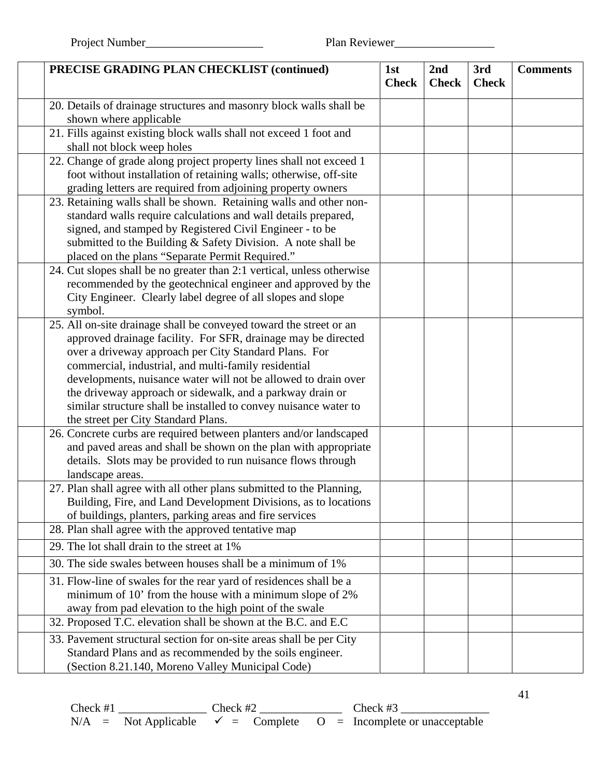| PRECISE GRADING PLAN CHECKLIST (continued)                             | 1st<br><b>Check</b> | 2 <sub>nd</sub><br><b>Check</b> | 3rd<br><b>Check</b> | <b>Comments</b> |
|------------------------------------------------------------------------|---------------------|---------------------------------|---------------------|-----------------|
| 20. Details of drainage structures and masonry block walls shall be    |                     |                                 |                     |                 |
| shown where applicable                                                 |                     |                                 |                     |                 |
| 21. Fills against existing block walls shall not exceed 1 foot and     |                     |                                 |                     |                 |
| shall not block weep holes                                             |                     |                                 |                     |                 |
| 22. Change of grade along project property lines shall not exceed 1    |                     |                                 |                     |                 |
| foot without installation of retaining walls; otherwise, off-site      |                     |                                 |                     |                 |
| grading letters are required from adjoining property owners            |                     |                                 |                     |                 |
| 23. Retaining walls shall be shown. Retaining walls and other non-     |                     |                                 |                     |                 |
| standard walls require calculations and wall details prepared,         |                     |                                 |                     |                 |
| signed, and stamped by Registered Civil Engineer - to be               |                     |                                 |                     |                 |
| submitted to the Building & Safety Division. A note shall be           |                     |                                 |                     |                 |
| placed on the plans "Separate Permit Required."                        |                     |                                 |                     |                 |
| 24. Cut slopes shall be no greater than 2:1 vertical, unless otherwise |                     |                                 |                     |                 |
| recommended by the geotechnical engineer and approved by the           |                     |                                 |                     |                 |
| City Engineer. Clearly label degree of all slopes and slope<br>symbol. |                     |                                 |                     |                 |
| 25. All on-site drainage shall be conveyed toward the street or an     |                     |                                 |                     |                 |
| approved drainage facility. For SFR, drainage may be directed          |                     |                                 |                     |                 |
| over a driveway approach per City Standard Plans. For                  |                     |                                 |                     |                 |
| commercial, industrial, and multi-family residential                   |                     |                                 |                     |                 |
| developments, nuisance water will not be allowed to drain over         |                     |                                 |                     |                 |
| the driveway approach or sidewalk, and a parkway drain or              |                     |                                 |                     |                 |
| similar structure shall be installed to convey nuisance water to       |                     |                                 |                     |                 |
| the street per City Standard Plans.                                    |                     |                                 |                     |                 |
| 26. Concrete curbs are required between planters and/or landscaped     |                     |                                 |                     |                 |
| and paved areas and shall be shown on the plan with appropriate        |                     |                                 |                     |                 |
| details. Slots may be provided to run nuisance flows through           |                     |                                 |                     |                 |
| landscape areas.                                                       |                     |                                 |                     |                 |
| 27. Plan shall agree with all other plans submitted to the Planning,   |                     |                                 |                     |                 |
| Building, Fire, and Land Development Divisions, as to locations        |                     |                                 |                     |                 |
| of buildings, planters, parking areas and fire services                |                     |                                 |                     |                 |
| 28. Plan shall agree with the approved tentative map                   |                     |                                 |                     |                 |
| 29. The lot shall drain to the street at 1%                            |                     |                                 |                     |                 |
| 30. The side swales between houses shall be a minimum of 1%            |                     |                                 |                     |                 |
| 31. Flow-line of swales for the rear yard of residences shall be a     |                     |                                 |                     |                 |
| minimum of 10' from the house with a minimum slope of 2%               |                     |                                 |                     |                 |
| away from pad elevation to the high point of the swale                 |                     |                                 |                     |                 |
| 32. Proposed T.C. elevation shall be shown at the B.C. and E.C         |                     |                                 |                     |                 |
| 33. Pavement structural section for on-site areas shall be per City    |                     |                                 |                     |                 |
| Standard Plans and as recommended by the soils engineer.               |                     |                                 |                     |                 |
| (Section 8.21.140, Moreno Valley Municipal Code)                       |                     |                                 |                     |                 |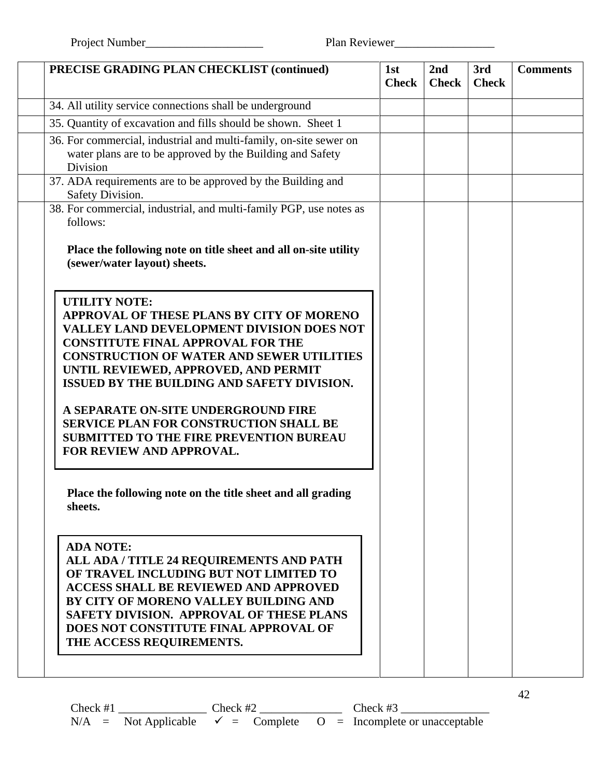| PRECISE GRADING PLAN CHECKLIST (continued)                                                                                                                                                                                                                                                                                                                                                                                                                                                                                                            | 1st<br><b>Check</b> | 2 <sub>nd</sub><br><b>Check</b> | 3rd<br><b>Check</b> | <b>Comments</b> |
|-------------------------------------------------------------------------------------------------------------------------------------------------------------------------------------------------------------------------------------------------------------------------------------------------------------------------------------------------------------------------------------------------------------------------------------------------------------------------------------------------------------------------------------------------------|---------------------|---------------------------------|---------------------|-----------------|
| 34. All utility service connections shall be underground                                                                                                                                                                                                                                                                                                                                                                                                                                                                                              |                     |                                 |                     |                 |
| 35. Quantity of excavation and fills should be shown. Sheet 1                                                                                                                                                                                                                                                                                                                                                                                                                                                                                         |                     |                                 |                     |                 |
| 36. For commercial, industrial and multi-family, on-site sewer on<br>water plans are to be approved by the Building and Safety<br>Division                                                                                                                                                                                                                                                                                                                                                                                                            |                     |                                 |                     |                 |
| 37. ADA requirements are to be approved by the Building and<br>Safety Division.                                                                                                                                                                                                                                                                                                                                                                                                                                                                       |                     |                                 |                     |                 |
| 38. For commercial, industrial, and multi-family PGP, use notes as<br>follows:                                                                                                                                                                                                                                                                                                                                                                                                                                                                        |                     |                                 |                     |                 |
| Place the following note on title sheet and all on-site utility<br>(sewer/water layout) sheets.                                                                                                                                                                                                                                                                                                                                                                                                                                                       |                     |                                 |                     |                 |
| <b>UTILITY NOTE:</b><br>APPROVAL OF THESE PLANS BY CITY OF MORENO<br>VALLEY LAND DEVELOPMENT DIVISION DOES NOT<br><b>CONSTITUTE FINAL APPROVAL FOR THE</b><br><b>CONSTRUCTION OF WATER AND SEWER UTILITIES</b><br>UNTIL REVIEWED, APPROVED, AND PERMIT<br>ISSUED BY THE BUILDING AND SAFETY DIVISION.<br>A SEPARATE ON-SITE UNDERGROUND FIRE<br><b>SERVICE PLAN FOR CONSTRUCTION SHALL BE</b><br><b>SUBMITTED TO THE FIRE PREVENTION BUREAU</b><br>FOR REVIEW AND APPROVAL.<br>Place the following note on the title sheet and all grading<br>sheets. |                     |                                 |                     |                 |
| <b>ADA NOTE:</b><br>ALL ADA / TITLE 24 REQUIREMENTS AND PATH<br>OF TRAVEL INCLUDING BUT NOT LIMITED TO<br><b>ACCESS SHALL BE REVIEWED AND APPROVED</b><br>BY CITY OF MORENO VALLEY BUILDING AND<br>SAFETY DIVISION. APPROVAL OF THESE PLANS<br>DOES NOT CONSTITUTE FINAL APPROVAL OF<br>THE ACCESS REQUIREMENTS.                                                                                                                                                                                                                                      |                     |                                 |                     |                 |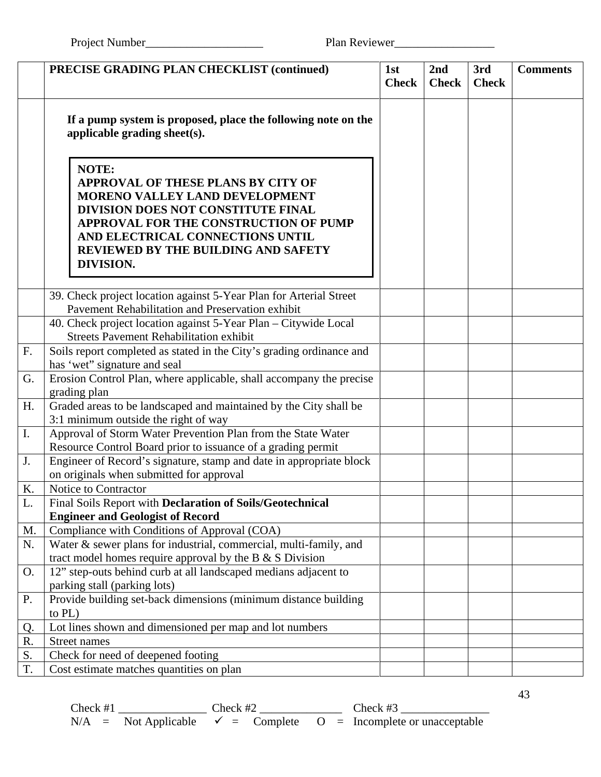|    | PRECISE GRADING PLAN CHECKLIST (continued)                                                                                                                                                                                                                                | 1st<br><b>Check</b> | 2nd<br><b>Check</b> | 3rd<br><b>Check</b> | <b>Comments</b> |
|----|---------------------------------------------------------------------------------------------------------------------------------------------------------------------------------------------------------------------------------------------------------------------------|---------------------|---------------------|---------------------|-----------------|
|    | If a pump system is proposed, place the following note on the<br>applicable grading sheet(s).                                                                                                                                                                             |                     |                     |                     |                 |
|    | NOTE:<br><b>APPROVAL OF THESE PLANS BY CITY OF</b><br>MORENO VALLEY LAND DEVELOPMENT<br>DIVISION DOES NOT CONSTITUTE FINAL<br><b>APPROVAL FOR THE CONSTRUCTION OF PUMP</b><br>AND ELECTRICAL CONNECTIONS UNTIL<br><b>REVIEWED BY THE BUILDING AND SAFETY</b><br>DIVISION. |                     |                     |                     |                 |
|    | 39. Check project location against 5-Year Plan for Arterial Street<br>Pavement Rehabilitation and Preservation exhibit                                                                                                                                                    |                     |                     |                     |                 |
|    | 40. Check project location against 5-Year Plan - Citywide Local<br><b>Streets Pavement Rehabilitation exhibit</b>                                                                                                                                                         |                     |                     |                     |                 |
| F. | Soils report completed as stated in the City's grading ordinance and<br>has 'wet" signature and seal                                                                                                                                                                      |                     |                     |                     |                 |
| G. | Erosion Control Plan, where applicable, shall accompany the precise<br>grading plan                                                                                                                                                                                       |                     |                     |                     |                 |
| H. | Graded areas to be landscaped and maintained by the City shall be<br>3:1 minimum outside the right of way                                                                                                                                                                 |                     |                     |                     |                 |
| Ι. | Approval of Storm Water Prevention Plan from the State Water<br>Resource Control Board prior to issuance of a grading permit                                                                                                                                              |                     |                     |                     |                 |
| J. | Engineer of Record's signature, stamp and date in appropriate block<br>on originals when submitted for approval                                                                                                                                                           |                     |                     |                     |                 |
| Κ. | Notice to Contractor                                                                                                                                                                                                                                                      |                     |                     |                     |                 |
| L. | Final Soils Report with Declaration of Soils/Geotechnical                                                                                                                                                                                                                 |                     |                     |                     |                 |
|    | <b>Engineer and Geologist of Record</b>                                                                                                                                                                                                                                   |                     |                     |                     |                 |
| M. | Compliance with Conditions of Approval (COA)                                                                                                                                                                                                                              |                     |                     |                     |                 |
| N. | Water & sewer plans for industrial, commercial, multi-family, and                                                                                                                                                                                                         |                     |                     |                     |                 |
|    | tract model homes require approval by the B $&$ S Division                                                                                                                                                                                                                |                     |                     |                     |                 |
| O. | 12" step-outs behind curb at all landscaped medians adjacent to                                                                                                                                                                                                           |                     |                     |                     |                 |
| P. | parking stall (parking lots)<br>Provide building set-back dimensions (minimum distance building                                                                                                                                                                           |                     |                     |                     |                 |
|    | to PL)                                                                                                                                                                                                                                                                    |                     |                     |                     |                 |
| Q. | Lot lines shown and dimensioned per map and lot numbers                                                                                                                                                                                                                   |                     |                     |                     |                 |
| R. | <b>Street names</b>                                                                                                                                                                                                                                                       |                     |                     |                     |                 |
| S. | Check for need of deepened footing                                                                                                                                                                                                                                        |                     |                     |                     |                 |
| T. | Cost estimate matches quantities on plan                                                                                                                                                                                                                                  |                     |                     |                     |                 |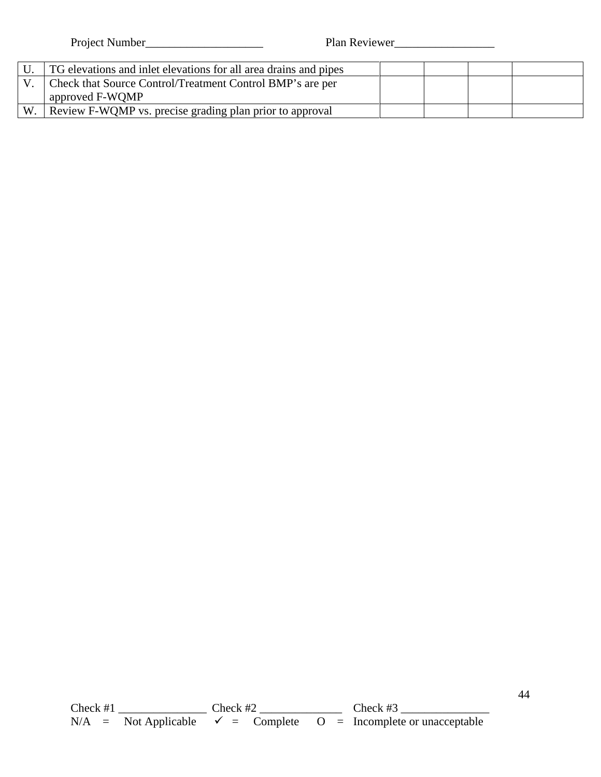|    | TG elevations and inlet elevations for all area drains and pipes |  |  |
|----|------------------------------------------------------------------|--|--|
|    | Check that Source Control/Treatment Control BMP's are per        |  |  |
|    | approved F-WOMP                                                  |  |  |
| W. | Review F-WQMP vs. precise grading plan prior to approval         |  |  |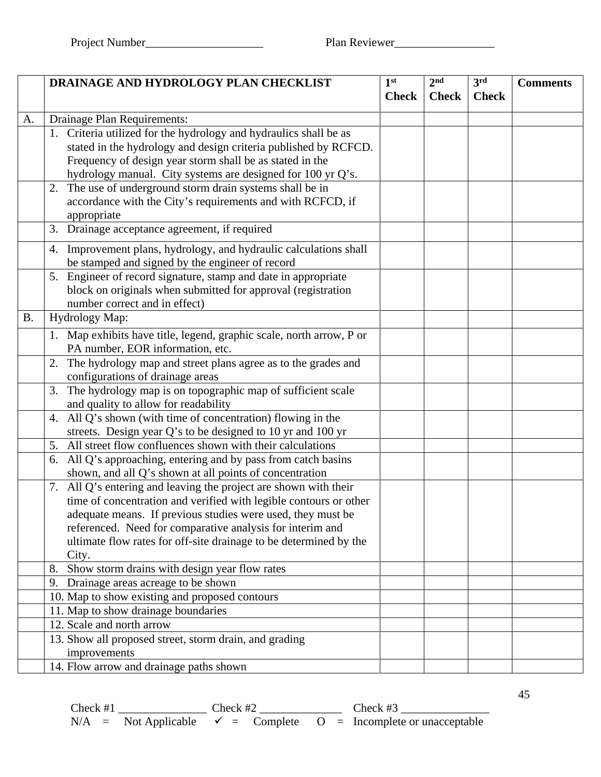|           | DRAINAGE AND HYDROLOGY PLAN CHECKLIST                                                                                                                                                                                                                                                                                                           | 1 <sup>st</sup><br><b>Check</b> | 2 <sub>nd</sub><br><b>Check</b> | 3rd<br><b>Check</b> | <b>Comments</b> |
|-----------|-------------------------------------------------------------------------------------------------------------------------------------------------------------------------------------------------------------------------------------------------------------------------------------------------------------------------------------------------|---------------------------------|---------------------------------|---------------------|-----------------|
| A.        | Drainage Plan Requirements:                                                                                                                                                                                                                                                                                                                     |                                 |                                 |                     |                 |
|           | 1. Criteria utilized for the hydrology and hydraulics shall be as<br>stated in the hydrology and design criteria published by RCFCD.<br>Frequency of design year storm shall be as stated in the<br>hydrology manual. City systems are designed for 100 yr Q's.                                                                                 |                                 |                                 |                     |                 |
|           | 2. The use of underground storm drain systems shall be in<br>accordance with the City's requirements and with RCFCD, if<br>appropriate                                                                                                                                                                                                          |                                 |                                 |                     |                 |
|           | 3. Drainage acceptance agreement, if required                                                                                                                                                                                                                                                                                                   |                                 |                                 |                     |                 |
|           | 4. Improvement plans, hydrology, and hydraulic calculations shall<br>be stamped and signed by the engineer of record                                                                                                                                                                                                                            |                                 |                                 |                     |                 |
|           | 5. Engineer of record signature, stamp and date in appropriate<br>block on originals when submitted for approval (registration<br>number correct and in effect)                                                                                                                                                                                 |                                 |                                 |                     |                 |
| <b>B.</b> | Hydrology Map:                                                                                                                                                                                                                                                                                                                                  |                                 |                                 |                     |                 |
|           | 1. Map exhibits have title, legend, graphic scale, north arrow, P or<br>PA number, EOR information, etc.                                                                                                                                                                                                                                        |                                 |                                 |                     |                 |
|           | 2. The hydrology map and street plans agree as to the grades and<br>configurations of drainage areas                                                                                                                                                                                                                                            |                                 |                                 |                     |                 |
|           | 3. The hydrology map is on topographic map of sufficient scale<br>and quality to allow for readability                                                                                                                                                                                                                                          |                                 |                                 |                     |                 |
|           | 4. All Q's shown (with time of concentration) flowing in the<br>streets. Design year Q's to be designed to 10 yr and 100 yr                                                                                                                                                                                                                     |                                 |                                 |                     |                 |
|           | 5. All street flow confluences shown with their calculations                                                                                                                                                                                                                                                                                    |                                 |                                 |                     |                 |
|           | 6. All Q's approaching, entering and by pass from catch basins<br>shown, and all Q's shown at all points of concentration                                                                                                                                                                                                                       |                                 |                                 |                     |                 |
|           | 7. All Q's entering and leaving the project are shown with their<br>time of concentration and verified with legible contours or other<br>adequate means. If previous studies were used, they must be<br>referenced. Need for comparative analysis for interim and<br>ultimate flow rates for off-site drainage to be determined by the<br>City. |                                 |                                 |                     |                 |
|           | Show storm drains with design year flow rates<br>8.                                                                                                                                                                                                                                                                                             |                                 |                                 |                     |                 |
|           | 9. Drainage areas acreage to be shown                                                                                                                                                                                                                                                                                                           |                                 |                                 |                     |                 |
|           | 10. Map to show existing and proposed contours                                                                                                                                                                                                                                                                                                  |                                 |                                 |                     |                 |
|           | 11. Map to show drainage boundaries                                                                                                                                                                                                                                                                                                             |                                 |                                 |                     |                 |
|           | 12. Scale and north arrow                                                                                                                                                                                                                                                                                                                       |                                 |                                 |                     |                 |
|           | 13. Show all proposed street, storm drain, and grading<br>improvements                                                                                                                                                                                                                                                                          |                                 |                                 |                     |                 |
|           | 14. Flow arrow and drainage paths shown                                                                                                                                                                                                                                                                                                         |                                 |                                 |                     |                 |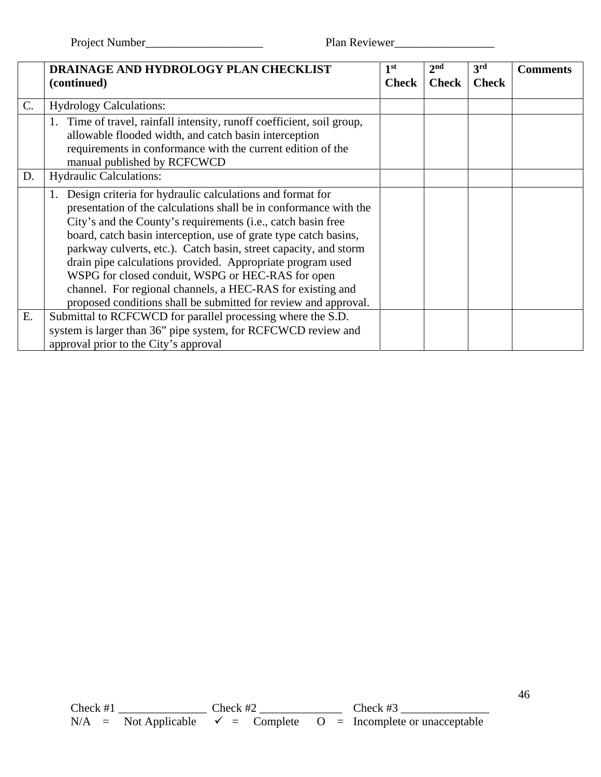|    | DRAINAGE AND HYDROLOGY PLAN CHECKLIST                                                                                                                                                                                                                                                                                                                                                                                                                                                                                                                                                      | 1 <sup>st</sup> | 2 <sup>nd</sup> | 3 <sup>rd</sup> | <b>Comments</b> |
|----|--------------------------------------------------------------------------------------------------------------------------------------------------------------------------------------------------------------------------------------------------------------------------------------------------------------------------------------------------------------------------------------------------------------------------------------------------------------------------------------------------------------------------------------------------------------------------------------------|-----------------|-----------------|-----------------|-----------------|
|    | (continued)                                                                                                                                                                                                                                                                                                                                                                                                                                                                                                                                                                                | <b>Check</b>    | <b>Check</b>    | <b>Check</b>    |                 |
| C. | <b>Hydrology Calculations:</b>                                                                                                                                                                                                                                                                                                                                                                                                                                                                                                                                                             |                 |                 |                 |                 |
|    | 1. Time of travel, rainfall intensity, runoff coefficient, soil group,<br>allowable flooded width, and catch basin interception<br>requirements in conformance with the current edition of the<br>manual published by RCFCWCD                                                                                                                                                                                                                                                                                                                                                              |                 |                 |                 |                 |
| D. | <b>Hydraulic Calculations:</b>                                                                                                                                                                                                                                                                                                                                                                                                                                                                                                                                                             |                 |                 |                 |                 |
|    | Design criteria for hydraulic calculations and format for<br>presentation of the calculations shall be in conformance with the<br>City's and the County's requirements (i.e., catch basin free<br>board, catch basin interception, use of grate type catch basins,<br>parkway culverts, etc.). Catch basin, street capacity, and storm<br>drain pipe calculations provided. Appropriate program used<br>WSPG for closed conduit, WSPG or HEC-RAS for open<br>channel. For regional channels, a HEC-RAS for existing and<br>proposed conditions shall be submitted for review and approval. |                 |                 |                 |                 |
| E. | Submittal to RCFCWCD for parallel processing where the S.D.<br>system is larger than 36" pipe system, for RCFCWCD review and<br>approval prior to the City's approval                                                                                                                                                                                                                                                                                                                                                                                                                      |                 |                 |                 |                 |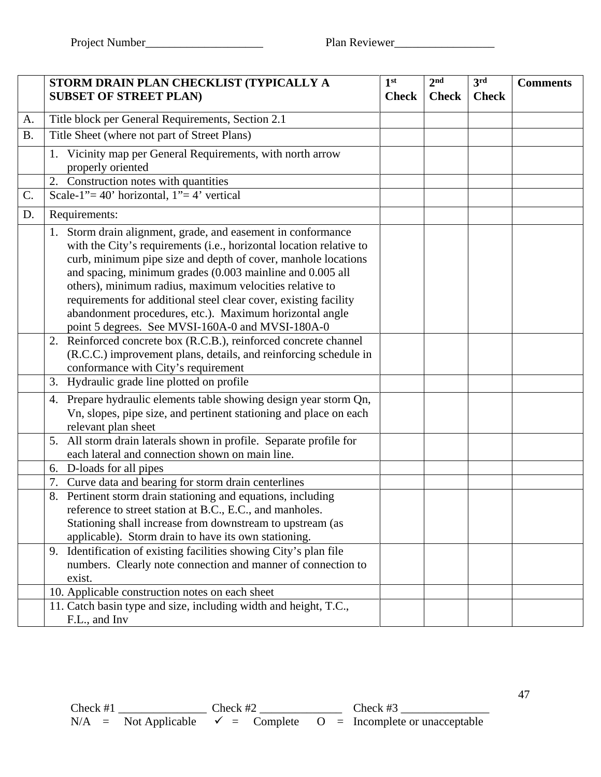|           | STORM DRAIN PLAN CHECKLIST (TYPICALLY A<br><b>SUBSET OF STREET PLAN)</b>                                                                                                                                                                                                                                                                                                                                                                                                                                           | 1 <sup>st</sup><br><b>Check</b> | 2 <sub>nd</sub><br><b>Check</b> | 3rd<br><b>Check</b> | <b>Comments</b> |
|-----------|--------------------------------------------------------------------------------------------------------------------------------------------------------------------------------------------------------------------------------------------------------------------------------------------------------------------------------------------------------------------------------------------------------------------------------------------------------------------------------------------------------------------|---------------------------------|---------------------------------|---------------------|-----------------|
| A.        | Title block per General Requirements, Section 2.1                                                                                                                                                                                                                                                                                                                                                                                                                                                                  |                                 |                                 |                     |                 |
| <b>B.</b> | Title Sheet (where not part of Street Plans)                                                                                                                                                                                                                                                                                                                                                                                                                                                                       |                                 |                                 |                     |                 |
|           | 1. Vicinity map per General Requirements, with north arrow<br>properly oriented                                                                                                                                                                                                                                                                                                                                                                                                                                    |                                 |                                 |                     |                 |
|           | 2. Construction notes with quantities                                                                                                                                                                                                                                                                                                                                                                                                                                                                              |                                 |                                 |                     |                 |
| $C$ .     | Scale-1"= 40' horizontal, $1"$ = 4' vertical                                                                                                                                                                                                                                                                                                                                                                                                                                                                       |                                 |                                 |                     |                 |
| D.        | Requirements:                                                                                                                                                                                                                                                                                                                                                                                                                                                                                                      |                                 |                                 |                     |                 |
|           | Storm drain alignment, grade, and easement in conformance<br>1.<br>with the City's requirements (i.e., horizontal location relative to<br>curb, minimum pipe size and depth of cover, manhole locations<br>and spacing, minimum grades (0.003 mainline and 0.005 all<br>others), minimum radius, maximum velocities relative to<br>requirements for additional steel clear cover, existing facility<br>abandonment procedures, etc.). Maximum horizontal angle<br>point 5 degrees. See MVSI-160A-0 and MVSI-180A-0 |                                 |                                 |                     |                 |
|           | 2. Reinforced concrete box (R.C.B.), reinforced concrete channel<br>(R.C.C.) improvement plans, details, and reinforcing schedule in<br>conformance with City's requirement                                                                                                                                                                                                                                                                                                                                        |                                 |                                 |                     |                 |
|           | 3. Hydraulic grade line plotted on profile                                                                                                                                                                                                                                                                                                                                                                                                                                                                         |                                 |                                 |                     |                 |
|           | 4. Prepare hydraulic elements table showing design year storm Qn,<br>Vn, slopes, pipe size, and pertinent stationing and place on each<br>relevant plan sheet                                                                                                                                                                                                                                                                                                                                                      |                                 |                                 |                     |                 |
|           | 5. All storm drain laterals shown in profile. Separate profile for<br>each lateral and connection shown on main line.                                                                                                                                                                                                                                                                                                                                                                                              |                                 |                                 |                     |                 |
|           | 6. D-loads for all pipes                                                                                                                                                                                                                                                                                                                                                                                                                                                                                           |                                 |                                 |                     |                 |
|           | Curve data and bearing for storm drain centerlines<br>7.                                                                                                                                                                                                                                                                                                                                                                                                                                                           |                                 |                                 |                     |                 |
|           | 8. Pertinent storm drain stationing and equations, including<br>reference to street station at B.C., E.C., and manholes.<br>Stationing shall increase from downstream to upstream (as<br>applicable). Storm drain to have its own stationing.                                                                                                                                                                                                                                                                      |                                 |                                 |                     |                 |
|           | 9. Identification of existing facilities showing City's plan file<br>numbers. Clearly note connection and manner of connection to<br>exist.                                                                                                                                                                                                                                                                                                                                                                        |                                 |                                 |                     |                 |
|           | 10. Applicable construction notes on each sheet                                                                                                                                                                                                                                                                                                                                                                                                                                                                    |                                 |                                 |                     |                 |
|           | 11. Catch basin type and size, including width and height, T.C.,<br>F.L., and Inv                                                                                                                                                                                                                                                                                                                                                                                                                                  |                                 |                                 |                     |                 |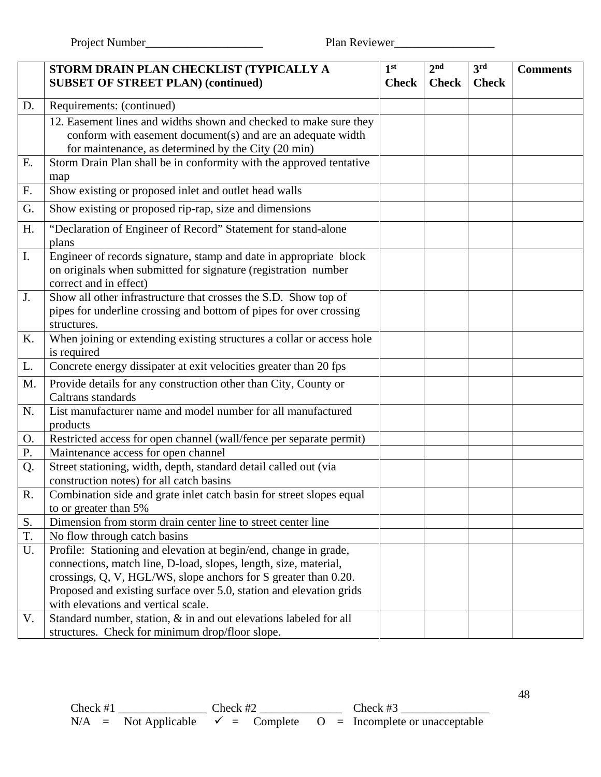|    | STORM DRAIN PLAN CHECKLIST (TYPICALLY A                                                                                                                        | 1 <sup>st</sup> | 2 <sub>nd</sub> | 3 <sup>rd</sup> | <b>Comments</b> |
|----|----------------------------------------------------------------------------------------------------------------------------------------------------------------|-----------------|-----------------|-----------------|-----------------|
|    | <b>SUBSET OF STREET PLAN) (continued)</b>                                                                                                                      | <b>Check</b>    | <b>Check</b>    | <b>Check</b>    |                 |
| D. | Requirements: (continued)                                                                                                                                      |                 |                 |                 |                 |
|    | 12. Easement lines and widths shown and checked to make sure they                                                                                              |                 |                 |                 |                 |
|    | conform with easement document(s) and are an adequate width                                                                                                    |                 |                 |                 |                 |
|    | for maintenance, as determined by the City (20 min)                                                                                                            |                 |                 |                 |                 |
| Ε. | Storm Drain Plan shall be in conformity with the approved tentative<br>map                                                                                     |                 |                 |                 |                 |
| F. | Show existing or proposed inlet and outlet head walls                                                                                                          |                 |                 |                 |                 |
| G. | Show existing or proposed rip-rap, size and dimensions                                                                                                         |                 |                 |                 |                 |
| H. | "Declaration of Engineer of Record" Statement for stand-alone<br>plans                                                                                         |                 |                 |                 |                 |
| Ι. | Engineer of records signature, stamp and date in appropriate block<br>on originals when submitted for signature (registration number<br>correct and in effect) |                 |                 |                 |                 |
| J. | Show all other infrastructure that crosses the S.D. Show top of                                                                                                |                 |                 |                 |                 |
|    | pipes for underline crossing and bottom of pipes for over crossing                                                                                             |                 |                 |                 |                 |
|    | structures.                                                                                                                                                    |                 |                 |                 |                 |
| K. | When joining or extending existing structures a collar or access hole                                                                                          |                 |                 |                 |                 |
|    | is required                                                                                                                                                    |                 |                 |                 |                 |
| L. | Concrete energy dissipater at exit velocities greater than 20 fps                                                                                              |                 |                 |                 |                 |
| M. | Provide details for any construction other than City, County or<br>Caltrans standards                                                                          |                 |                 |                 |                 |
| N. | List manufacturer name and model number for all manufactured<br>products                                                                                       |                 |                 |                 |                 |
| O. | Restricted access for open channel (wall/fence per separate permit)                                                                                            |                 |                 |                 |                 |
| P. | Maintenance access for open channel                                                                                                                            |                 |                 |                 |                 |
| Q. | Street stationing, width, depth, standard detail called out (via<br>construction notes) for all catch basins                                                   |                 |                 |                 |                 |
| R. | Combination side and grate inlet catch basin for street slopes equal                                                                                           |                 |                 |                 |                 |
|    | to or greater than 5%                                                                                                                                          |                 |                 |                 |                 |
| S. | Dimension from storm drain center line to street center line                                                                                                   |                 |                 |                 |                 |
| T. | No flow through catch basins                                                                                                                                   |                 |                 |                 |                 |
| U. | Profile: Stationing and elevation at begin/end, change in grade,                                                                                               |                 |                 |                 |                 |
|    | connections, match line, D-load, slopes, length, size, material,                                                                                               |                 |                 |                 |                 |
|    | crossings, Q, V, HGL/WS, slope anchors for S greater than 0.20.                                                                                                |                 |                 |                 |                 |
|    | Proposed and existing surface over 5.0, station and elevation grids                                                                                            |                 |                 |                 |                 |
|    | with elevations and vertical scale.                                                                                                                            |                 |                 |                 |                 |
| V. | Standard number, station, & in and out elevations labeled for all                                                                                              |                 |                 |                 |                 |
|    | structures. Check for minimum drop/floor slope.                                                                                                                |                 |                 |                 |                 |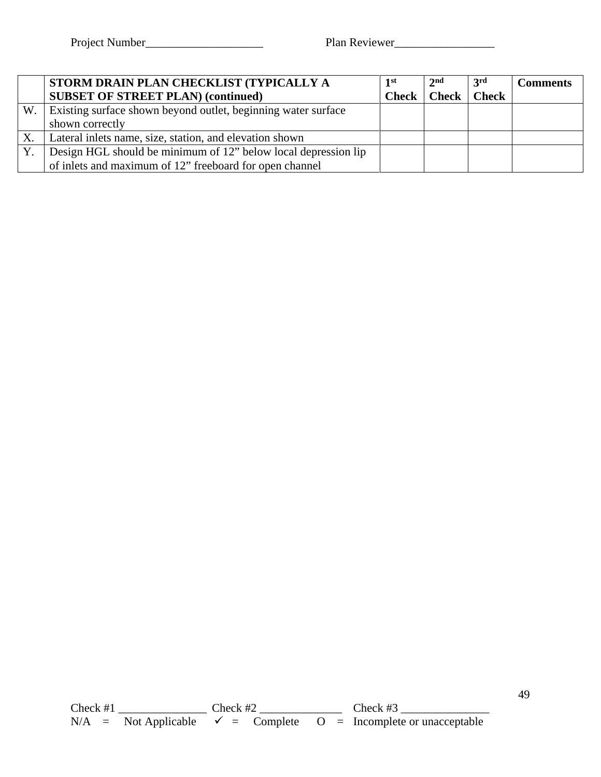|    | STORM DRAIN PLAN CHECKLIST (TYPICALLY A                          | 1st   | 2 <sub>nd</sub> | $\mathbf{a}$ rd | Comments |
|----|------------------------------------------------------------------|-------|-----------------|-----------------|----------|
|    | <b>SUBSET OF STREET PLAN) (continued)</b>                        | Check | Check   Check   |                 |          |
|    | W. Existing surface shown beyond outlet, beginning water surface |       |                 |                 |          |
|    | shown correctly                                                  |       |                 |                 |          |
| X. | Lateral inlets name, size, station, and elevation shown          |       |                 |                 |          |
| Y. | Design HGL should be minimum of 12" below local depression lip   |       |                 |                 |          |
|    | of inlets and maximum of 12" freeboard for open channel          |       |                 |                 |          |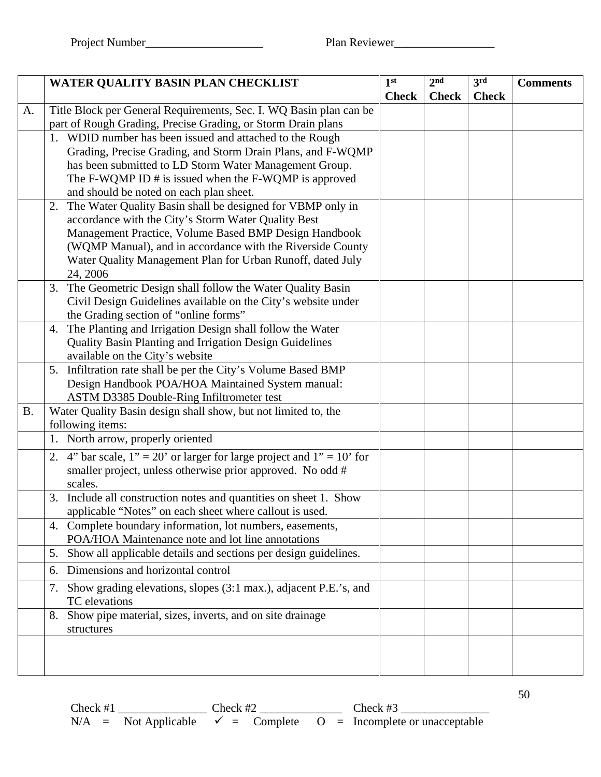|           | WATER QUALITY BASIN PLAN CHECKLIST                                                             | 1 <sup>st</sup><br><b>Check</b> | 2 <sub>nd</sub><br><b>Check</b> | 3 <sup>rd</sup><br><b>Check</b> | <b>Comments</b> |
|-----------|------------------------------------------------------------------------------------------------|---------------------------------|---------------------------------|---------------------------------|-----------------|
| A.        | Title Block per General Requirements, Sec. I. WQ Basin plan can be                             |                                 |                                 |                                 |                 |
|           | part of Rough Grading, Precise Grading, or Storm Drain plans                                   |                                 |                                 |                                 |                 |
|           | 1. WDID number has been issued and attached to the Rough                                       |                                 |                                 |                                 |                 |
|           | Grading, Precise Grading, and Storm Drain Plans, and F-WQMP                                    |                                 |                                 |                                 |                 |
|           | has been submitted to LD Storm Water Management Group.                                         |                                 |                                 |                                 |                 |
|           | The F-WQMP ID $#$ is issued when the F-WQMP is approved                                        |                                 |                                 |                                 |                 |
|           | and should be noted on each plan sheet.                                                        |                                 |                                 |                                 |                 |
|           | The Water Quality Basin shall be designed for VBMP only in<br>2.                               |                                 |                                 |                                 |                 |
|           | accordance with the City's Storm Water Quality Best                                            |                                 |                                 |                                 |                 |
|           | Management Practice, Volume Based BMP Design Handbook                                          |                                 |                                 |                                 |                 |
|           | (WQMP Manual), and in accordance with the Riverside County                                     |                                 |                                 |                                 |                 |
|           | Water Quality Management Plan for Urban Runoff, dated July                                     |                                 |                                 |                                 |                 |
|           | 24, 2006                                                                                       |                                 |                                 |                                 |                 |
|           | 3. The Geometric Design shall follow the Water Quality Basin                                   |                                 |                                 |                                 |                 |
|           | Civil Design Guidelines available on the City's website under                                  |                                 |                                 |                                 |                 |
|           | the Grading section of "online forms"                                                          |                                 |                                 |                                 |                 |
|           | The Planting and Irrigation Design shall follow the Water<br>4.                                |                                 |                                 |                                 |                 |
|           | Quality Basin Planting and Irrigation Design Guidelines                                        |                                 |                                 |                                 |                 |
|           | available on the City's website                                                                |                                 |                                 |                                 |                 |
|           | 5. Infiltration rate shall be per the City's Volume Based BMP                                  |                                 |                                 |                                 |                 |
|           | Design Handbook POA/HOA Maintained System manual:<br>ASTM D3385 Double-Ring Infiltrometer test |                                 |                                 |                                 |                 |
| <b>B.</b> | Water Quality Basin design shall show, but not limited to, the                                 |                                 |                                 |                                 |                 |
|           | following items:                                                                               |                                 |                                 |                                 |                 |
|           | 1. North arrow, properly oriented                                                              |                                 |                                 |                                 |                 |
|           | 2. 4" bar scale, $1" = 20"$ or larger for large project and $1" = 10"$ for                     |                                 |                                 |                                 |                 |
|           | smaller project, unless otherwise prior approved. No odd #                                     |                                 |                                 |                                 |                 |
|           | scales.                                                                                        |                                 |                                 |                                 |                 |
|           | Include all construction notes and quantities on sheet 1. Show<br>3.                           |                                 |                                 |                                 |                 |
|           | applicable "Notes" on each sheet where callout is used.                                        |                                 |                                 |                                 |                 |
|           | 4. Complete boundary information, lot numbers, easements,                                      |                                 |                                 |                                 |                 |
|           | POA/HOA Maintenance note and lot line annotations                                              |                                 |                                 |                                 |                 |
|           | Show all applicable details and sections per design guidelines.<br>5.                          |                                 |                                 |                                 |                 |
|           | Dimensions and horizontal control<br>6.                                                        |                                 |                                 |                                 |                 |
|           | Show grading elevations, slopes (3:1 max.), adjacent P.E.'s, and<br>7.<br>TC elevations        |                                 |                                 |                                 |                 |
|           | Show pipe material, sizes, inverts, and on site drainage<br>8.<br>structures                   |                                 |                                 |                                 |                 |
|           |                                                                                                |                                 |                                 |                                 |                 |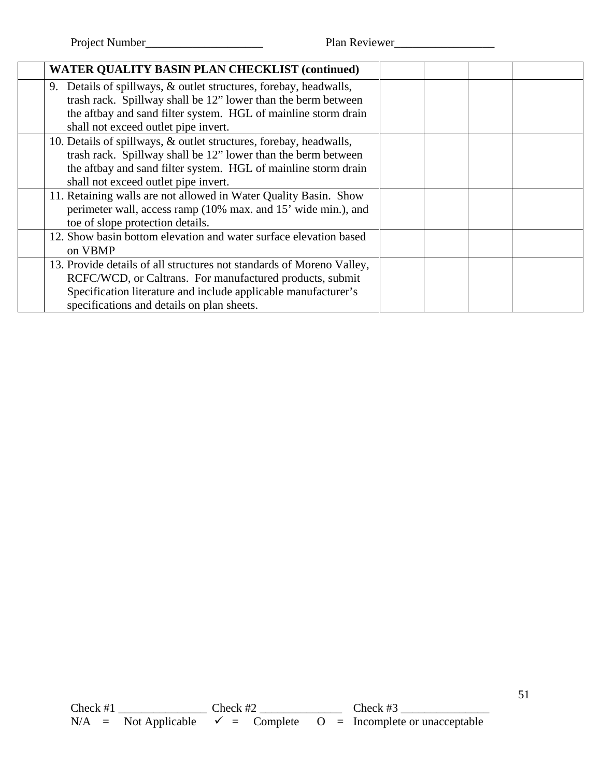| <b>WATER QUALITY BASIN PLAN CHECKLIST (continued)</b>                                                                                                                                                                                             |  |  |
|---------------------------------------------------------------------------------------------------------------------------------------------------------------------------------------------------------------------------------------------------|--|--|
| 9. Details of spillways, & outlet structures, forebay, headwalls,<br>trash rack. Spillway shall be 12" lower than the berm between<br>the aftbay and sand filter system. HGL of mainline storm drain<br>shall not exceed outlet pipe invert.      |  |  |
| 10. Details of spillways, & outlet structures, forebay, headwalls,<br>trash rack. Spillway shall be 12" lower than the berm between<br>the aftbay and sand filter system. HGL of mainline storm drain<br>shall not exceed outlet pipe invert.     |  |  |
| 11. Retaining walls are not allowed in Water Quality Basin. Show<br>perimeter wall, access ramp (10% max. and 15' wide min.), and<br>toe of slope protection details.                                                                             |  |  |
| 12. Show basin bottom elevation and water surface elevation based<br>on VBMP                                                                                                                                                                      |  |  |
| 13. Provide details of all structures not standards of Moreno Valley,<br>RCFC/WCD, or Caltrans. For manufactured products, submit<br>Specification literature and include applicable manufacturer's<br>specifications and details on plan sheets. |  |  |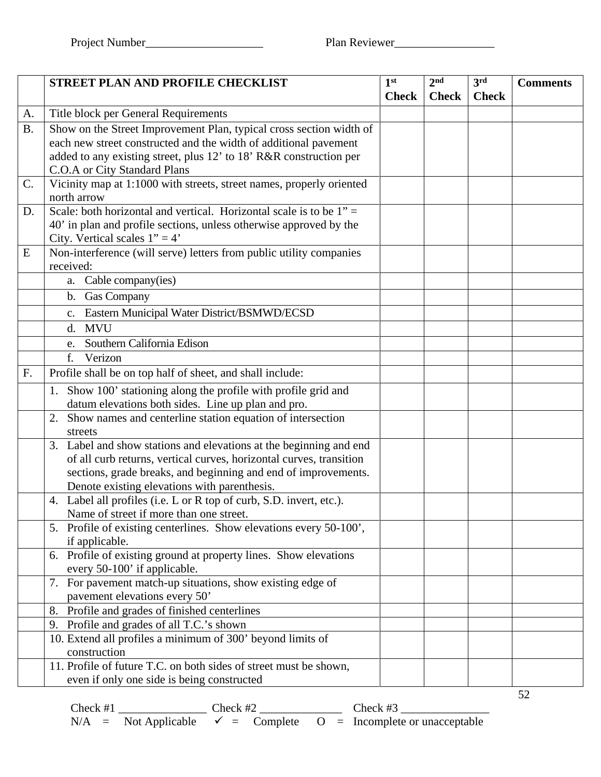|                | STREET PLAN AND PROFILE CHECKLIST                                                                                                                                                                                                                           | 1 <sup>st</sup><br><b>Check</b> | 2 <sub>nd</sub><br><b>Check</b> | 3rd<br><b>Check</b> | <b>Comments</b> |
|----------------|-------------------------------------------------------------------------------------------------------------------------------------------------------------------------------------------------------------------------------------------------------------|---------------------------------|---------------------------------|---------------------|-----------------|
| A.             | Title block per General Requirements                                                                                                                                                                                                                        |                                 |                                 |                     |                 |
| <b>B.</b>      | Show on the Street Improvement Plan, typical cross section width of<br>each new street constructed and the width of additional pavement<br>added to any existing street, plus 12' to 18' R&R construction per<br>C.O.A or City Standard Plans               |                                 |                                 |                     |                 |
| $\mathsf{C}$ . | Vicinity map at 1:1000 with streets, street names, properly oriented<br>north arrow                                                                                                                                                                         |                                 |                                 |                     |                 |
| D.             | Scale: both horizontal and vertical. Horizontal scale is to be $1" =$<br>40' in plan and profile sections, unless otherwise approved by the<br>City. Vertical scales $1" = 4"$                                                                              |                                 |                                 |                     |                 |
| E              | Non-interference (will serve) letters from public utility companies<br>received:                                                                                                                                                                            |                                 |                                 |                     |                 |
|                | a. Cable company(ies)                                                                                                                                                                                                                                       |                                 |                                 |                     |                 |
|                | b. Gas Company                                                                                                                                                                                                                                              |                                 |                                 |                     |                 |
|                | c. Eastern Municipal Water District/BSMWD/ECSD                                                                                                                                                                                                              |                                 |                                 |                     |                 |
|                | <b>MVU</b><br>d.                                                                                                                                                                                                                                            |                                 |                                 |                     |                 |
|                | Southern California Edison<br>e.                                                                                                                                                                                                                            |                                 |                                 |                     |                 |
|                | f.<br>Verizon                                                                                                                                                                                                                                               |                                 |                                 |                     |                 |
| F.             | Profile shall be on top half of sheet, and shall include:                                                                                                                                                                                                   |                                 |                                 |                     |                 |
|                | 1. Show 100' stationing along the profile with profile grid and<br>datum elevations both sides. Line up plan and pro.                                                                                                                                       |                                 |                                 |                     |                 |
|                | Show names and centerline station equation of intersection<br>2.<br>streets                                                                                                                                                                                 |                                 |                                 |                     |                 |
|                | 3. Label and show stations and elevations at the beginning and end<br>of all curb returns, vertical curves, horizontal curves, transition<br>sections, grade breaks, and beginning and end of improvements.<br>Denote existing elevations with parenthesis. |                                 |                                 |                     |                 |
|                | 4. Label all profiles (i.e. L or R top of curb, S.D. invert, etc.).<br>Name of street if more than one street.                                                                                                                                              |                                 |                                 |                     |                 |
|                | 5. Profile of existing centerlines. Show elevations every 50-100',<br>if applicable.                                                                                                                                                                        |                                 |                                 |                     |                 |
|                | Profile of existing ground at property lines. Show elevations<br>6.<br>every 50-100' if applicable.                                                                                                                                                         |                                 |                                 |                     |                 |
|                | 7. For pavement match-up situations, show existing edge of<br>pavement elevations every 50'                                                                                                                                                                 |                                 |                                 |                     |                 |
|                | 8. Profile and grades of finished centerlines                                                                                                                                                                                                               |                                 |                                 |                     |                 |
|                | 9. Profile and grades of all T.C.'s shown                                                                                                                                                                                                                   |                                 |                                 |                     |                 |
|                | 10. Extend all profiles a minimum of 300' beyond limits of<br>construction                                                                                                                                                                                  |                                 |                                 |                     |                 |
|                | 11. Profile of future T.C. on both sides of street must be shown,<br>even if only one side is being constructed                                                                                                                                             |                                 |                                 |                     |                 |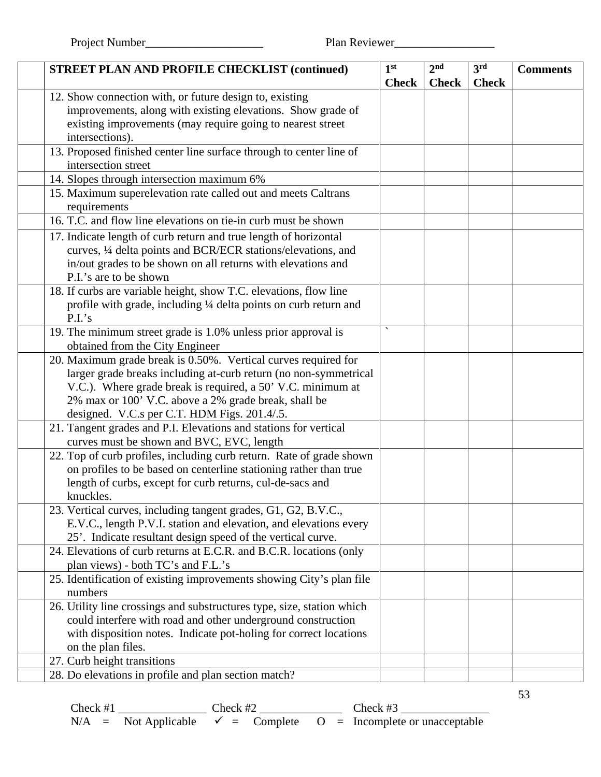| STREET PLAN AND PROFILE CHECKLIST (continued)                                                                     | 1 <sup>st</sup><br><b>Check</b> | 2 <sub>nd</sub><br><b>Check</b> | 3rd<br><b>Check</b> | <b>Comments</b> |
|-------------------------------------------------------------------------------------------------------------------|---------------------------------|---------------------------------|---------------------|-----------------|
| 12. Show connection with, or future design to, existing                                                           |                                 |                                 |                     |                 |
| improvements, along with existing elevations. Show grade of                                                       |                                 |                                 |                     |                 |
| existing improvements (may require going to nearest street                                                        |                                 |                                 |                     |                 |
| intersections).                                                                                                   |                                 |                                 |                     |                 |
| 13. Proposed finished center line surface through to center line of                                               |                                 |                                 |                     |                 |
| intersection street                                                                                               |                                 |                                 |                     |                 |
| 14. Slopes through intersection maximum 6%                                                                        |                                 |                                 |                     |                 |
| 15. Maximum superelevation rate called out and meets Caltrans                                                     |                                 |                                 |                     |                 |
| requirements                                                                                                      |                                 |                                 |                     |                 |
| 16. T.C. and flow line elevations on tie-in curb must be shown                                                    |                                 |                                 |                     |                 |
| 17. Indicate length of curb return and true length of horizontal                                                  |                                 |                                 |                     |                 |
| curves, 1/4 delta points and BCR/ECR stations/elevations, and                                                     |                                 |                                 |                     |                 |
| in/out grades to be shown on all returns with elevations and                                                      |                                 |                                 |                     |                 |
| P.I.'s are to be shown                                                                                            |                                 |                                 |                     |                 |
| 18. If curbs are variable height, show T.C. elevations, flow line                                                 |                                 |                                 |                     |                 |
| profile with grade, including 1/4 delta points on curb return and                                                 |                                 |                                 |                     |                 |
| P.I.'s                                                                                                            |                                 |                                 |                     |                 |
| 19. The minimum street grade is 1.0% unless prior approval is                                                     | $\hat{\phantom{a}}$             |                                 |                     |                 |
| obtained from the City Engineer                                                                                   |                                 |                                 |                     |                 |
| 20. Maximum grade break is 0.50%. Vertical curves required for                                                    |                                 |                                 |                     |                 |
| larger grade breaks including at-curb return (no non-symmetrical                                                  |                                 |                                 |                     |                 |
| V.C.). Where grade break is required, a 50' V.C. minimum at                                                       |                                 |                                 |                     |                 |
| 2% max or 100' V.C. above a 2% grade break, shall be                                                              |                                 |                                 |                     |                 |
| designed. V.C.s per C.T. HDM Figs. 201.4/.5.                                                                      |                                 |                                 |                     |                 |
| 21. Tangent grades and P.I. Elevations and stations for vertical                                                  |                                 |                                 |                     |                 |
| curves must be shown and BVC, EVC, length<br>22. Top of curb profiles, including curb return. Rate of grade shown |                                 |                                 |                     |                 |
| on profiles to be based on centerline stationing rather than true                                                 |                                 |                                 |                     |                 |
| length of curbs, except for curb returns, cul-de-sacs and                                                         |                                 |                                 |                     |                 |
| knuckles.                                                                                                         |                                 |                                 |                     |                 |
| 23. Vertical curves, including tangent grades, G1, G2, B.V.C.,                                                    |                                 |                                 |                     |                 |
| E.V.C., length P.V.I. station and elevation, and elevations every                                                 |                                 |                                 |                     |                 |
| 25'. Indicate resultant design speed of the vertical curve.                                                       |                                 |                                 |                     |                 |
| 24. Elevations of curb returns at E.C.R. and B.C.R. locations (only                                               |                                 |                                 |                     |                 |
| plan views) - both TC's and F.L.'s                                                                                |                                 |                                 |                     |                 |
| 25. Identification of existing improvements showing City's plan file                                              |                                 |                                 |                     |                 |
| numbers                                                                                                           |                                 |                                 |                     |                 |
| 26. Utility line crossings and substructures type, size, station which                                            |                                 |                                 |                     |                 |
| could interfere with road and other underground construction                                                      |                                 |                                 |                     |                 |
| with disposition notes. Indicate pot-holing for correct locations                                                 |                                 |                                 |                     |                 |
| on the plan files.                                                                                                |                                 |                                 |                     |                 |
| 27. Curb height transitions                                                                                       |                                 |                                 |                     |                 |
| 28. Do elevations in profile and plan section match?                                                              |                                 |                                 |                     |                 |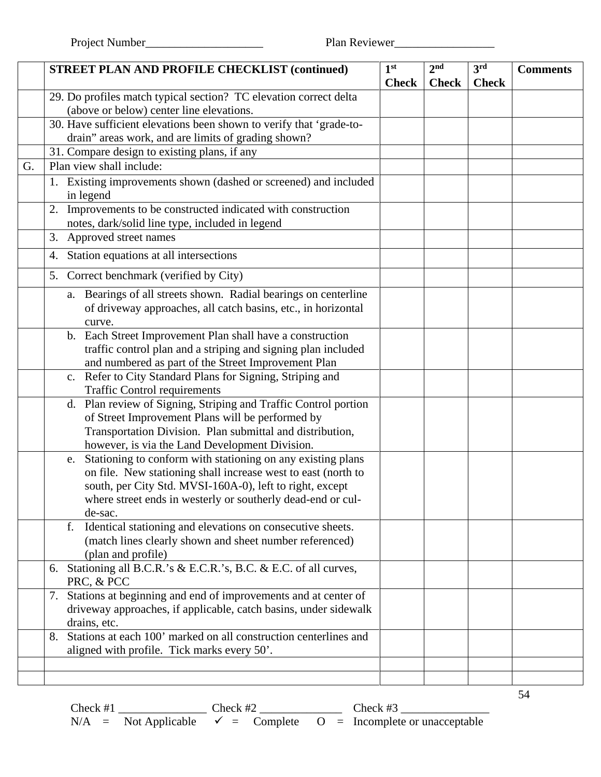|    | STREET PLAN AND PROFILE CHECKLIST (continued)                                                                                                                                                                                                                         | 1 <sup>st</sup><br><b>Check</b> | 2 <sub>nd</sub><br><b>Check</b> | 3rd<br><b>Check</b> | <b>Comments</b> |
|----|-----------------------------------------------------------------------------------------------------------------------------------------------------------------------------------------------------------------------------------------------------------------------|---------------------------------|---------------------------------|---------------------|-----------------|
|    | 29. Do profiles match typical section? TC elevation correct delta                                                                                                                                                                                                     |                                 |                                 |                     |                 |
|    | (above or below) center line elevations.                                                                                                                                                                                                                              |                                 |                                 |                     |                 |
|    | 30. Have sufficient elevations been shown to verify that 'grade-to-                                                                                                                                                                                                   |                                 |                                 |                     |                 |
|    | drain" areas work, and are limits of grading shown?                                                                                                                                                                                                                   |                                 |                                 |                     |                 |
|    | 31. Compare design to existing plans, if any                                                                                                                                                                                                                          |                                 |                                 |                     |                 |
| G. | Plan view shall include:                                                                                                                                                                                                                                              |                                 |                                 |                     |                 |
|    | Existing improvements shown (dashed or screened) and included<br>1.<br>in legend                                                                                                                                                                                      |                                 |                                 |                     |                 |
|    | 2. Improvements to be constructed indicated with construction<br>notes, dark/solid line type, included in legend                                                                                                                                                      |                                 |                                 |                     |                 |
|    | 3. Approved street names                                                                                                                                                                                                                                              |                                 |                                 |                     |                 |
|    | Station equations at all intersections<br>4.                                                                                                                                                                                                                          |                                 |                                 |                     |                 |
|    | 5. Correct benchmark (verified by City)                                                                                                                                                                                                                               |                                 |                                 |                     |                 |
|    | a. Bearings of all streets shown. Radial bearings on centerline<br>of driveway approaches, all catch basins, etc., in horizontal<br>curve.                                                                                                                            |                                 |                                 |                     |                 |
|    | b. Each Street Improvement Plan shall have a construction<br>traffic control plan and a striping and signing plan included<br>and numbered as part of the Street Improvement Plan                                                                                     |                                 |                                 |                     |                 |
|    | c. Refer to City Standard Plans for Signing, Striping and<br><b>Traffic Control requirements</b>                                                                                                                                                                      |                                 |                                 |                     |                 |
|    | d. Plan review of Signing, Striping and Traffic Control portion<br>of Street Improvement Plans will be performed by<br>Transportation Division. Plan submittal and distribution,<br>however, is via the Land Development Division.                                    |                                 |                                 |                     |                 |
|    | e. Stationing to conform with stationing on any existing plans<br>on file. New stationing shall increase west to east (north to<br>south, per City Std. MVSI-160A-0), left to right, except<br>where street ends in westerly or southerly dead-end or cul-<br>de-sac. |                                 |                                 |                     |                 |
|    | f. Identical stationing and elevations on consecutive sheets.<br>(match lines clearly shown and sheet number referenced)<br>(plan and profile)                                                                                                                        |                                 |                                 |                     |                 |
|    | 6. Stationing all B.C.R.'s & E.C.R.'s, B.C. & E.C. of all curves,<br>PRC, & PCC                                                                                                                                                                                       |                                 |                                 |                     |                 |
|    | Stations at beginning and end of improvements and at center of<br>7.<br>driveway approaches, if applicable, catch basins, under sidewalk<br>drains, etc.                                                                                                              |                                 |                                 |                     |                 |
|    | Stations at each 100' marked on all construction centerlines and<br>8.<br>aligned with profile. Tick marks every 50'.                                                                                                                                                 |                                 |                                 |                     |                 |
|    |                                                                                                                                                                                                                                                                       |                                 |                                 |                     |                 |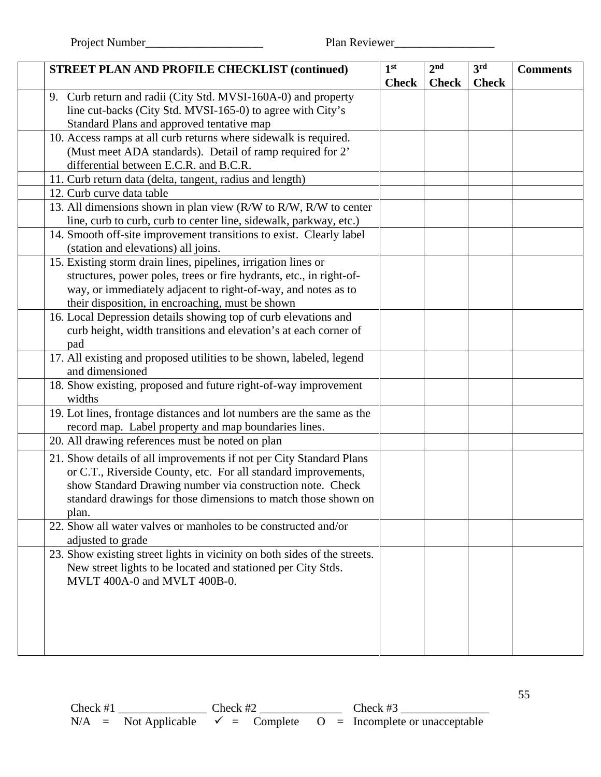| <b>STREET PLAN AND PROFILE CHECKLIST (continued)</b>                                                                                                                                                                                                                          | 1 <sup>st</sup><br><b>Check</b> | 2 <sub>nd</sub><br><b>Check</b> | 3rd<br><b>Check</b> | <b>Comments</b> |
|-------------------------------------------------------------------------------------------------------------------------------------------------------------------------------------------------------------------------------------------------------------------------------|---------------------------------|---------------------------------|---------------------|-----------------|
| 9. Curb return and radii (City Std. MVSI-160A-0) and property<br>line cut-backs (City Std. MVSI-165-0) to agree with City's<br>Standard Plans and approved tentative map                                                                                                      |                                 |                                 |                     |                 |
| 10. Access ramps at all curb returns where sidewalk is required.<br>(Must meet ADA standards). Detail of ramp required for 2'<br>differential between E.C.R. and B.C.R.                                                                                                       |                                 |                                 |                     |                 |
| 11. Curb return data (delta, tangent, radius and length)                                                                                                                                                                                                                      |                                 |                                 |                     |                 |
| 12. Curb curve data table                                                                                                                                                                                                                                                     |                                 |                                 |                     |                 |
| 13. All dimensions shown in plan view (R/W to R/W, R/W to center<br>line, curb to curb, curb to center line, sidewalk, parkway, etc.)                                                                                                                                         |                                 |                                 |                     |                 |
| 14. Smooth off-site improvement transitions to exist. Clearly label<br>(station and elevations) all joins.                                                                                                                                                                    |                                 |                                 |                     |                 |
| 15. Existing storm drain lines, pipelines, irrigation lines or<br>structures, power poles, trees or fire hydrants, etc., in right-of-<br>way, or immediately adjacent to right-of-way, and notes as to<br>their disposition, in encroaching, must be shown                    |                                 |                                 |                     |                 |
| 16. Local Depression details showing top of curb elevations and<br>curb height, width transitions and elevation's at each corner of<br>pad                                                                                                                                    |                                 |                                 |                     |                 |
| 17. All existing and proposed utilities to be shown, labeled, legend<br>and dimensioned                                                                                                                                                                                       |                                 |                                 |                     |                 |
| 18. Show existing, proposed and future right-of-way improvement<br>widths                                                                                                                                                                                                     |                                 |                                 |                     |                 |
| 19. Lot lines, frontage distances and lot numbers are the same as the<br>record map. Label property and map boundaries lines.                                                                                                                                                 |                                 |                                 |                     |                 |
| 20. All drawing references must be noted on plan                                                                                                                                                                                                                              |                                 |                                 |                     |                 |
| 21. Show details of all improvements if not per City Standard Plans<br>or C.T., Riverside County, etc. For all standard improvements,<br>show Standard Drawing number via construction note. Check<br>standard drawings for those dimensions to match those shown on<br>plan. |                                 |                                 |                     |                 |
| 22. Show all water valves or manholes to be constructed and/or<br>adjusted to grade                                                                                                                                                                                           |                                 |                                 |                     |                 |
| 23. Show existing street lights in vicinity on both sides of the streets.<br>New street lights to be located and stationed per City Stds.<br>MVLT 400A-0 and MVLT 400B-0.                                                                                                     |                                 |                                 |                     |                 |
|                                                                                                                                                                                                                                                                               |                                 |                                 |                     |                 |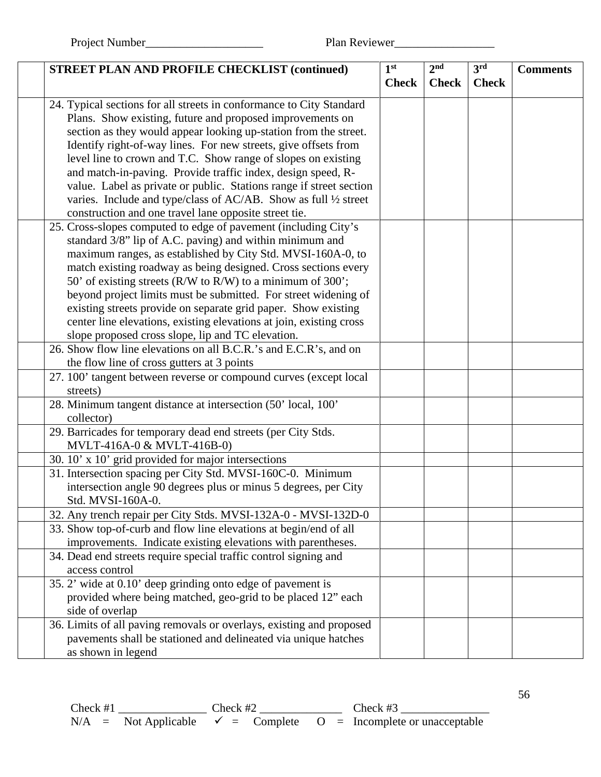| STREET PLAN AND PROFILE CHECKLIST (continued)                        | 1 <sup>st</sup><br><b>Check</b> | 2 <sup>nd</sup><br><b>Check</b> | $3^{\overline{\text{rd}}}$<br><b>Check</b> | <b>Comments</b> |
|----------------------------------------------------------------------|---------------------------------|---------------------------------|--------------------------------------------|-----------------|
|                                                                      |                                 |                                 |                                            |                 |
| 24. Typical sections for all streets in conformance to City Standard |                                 |                                 |                                            |                 |
| Plans. Show existing, future and proposed improvements on            |                                 |                                 |                                            |                 |
| section as they would appear looking up-station from the street.     |                                 |                                 |                                            |                 |
| Identify right-of-way lines. For new streets, give offsets from      |                                 |                                 |                                            |                 |
| level line to crown and T.C. Show range of slopes on existing        |                                 |                                 |                                            |                 |
| and match-in-paving. Provide traffic index, design speed, R-         |                                 |                                 |                                            |                 |
| value. Label as private or public. Stations range if street section  |                                 |                                 |                                            |                 |
| varies. Include and type/class of AC/AB. Show as full 1/2 street     |                                 |                                 |                                            |                 |
| construction and one travel lane opposite street tie.                |                                 |                                 |                                            |                 |
| 25. Cross-slopes computed to edge of pavement (including City's      |                                 |                                 |                                            |                 |
| standard 3/8" lip of A.C. paving) and within minimum and             |                                 |                                 |                                            |                 |
| maximum ranges, as established by City Std. MVSI-160A-0, to          |                                 |                                 |                                            |                 |
| match existing roadway as being designed. Cross sections every       |                                 |                                 |                                            |                 |
| 50' of existing streets (R/W to R/W) to a minimum of 300';           |                                 |                                 |                                            |                 |
| beyond project limits must be submitted. For street widening of      |                                 |                                 |                                            |                 |
| existing streets provide on separate grid paper. Show existing       |                                 |                                 |                                            |                 |
| center line elevations, existing elevations at join, existing cross  |                                 |                                 |                                            |                 |
| slope proposed cross slope, lip and TC elevation.                    |                                 |                                 |                                            |                 |
| 26. Show flow line elevations on all B.C.R.'s and E.C.R's, and on    |                                 |                                 |                                            |                 |
| the flow line of cross gutters at 3 points                           |                                 |                                 |                                            |                 |
| 27. 100' tangent between reverse or compound curves (except local    |                                 |                                 |                                            |                 |
| streets)                                                             |                                 |                                 |                                            |                 |
| 28. Minimum tangent distance at intersection (50' local, 100'        |                                 |                                 |                                            |                 |
| collector)                                                           |                                 |                                 |                                            |                 |
| 29. Barricades for temporary dead end streets (per City Stds.        |                                 |                                 |                                            |                 |
| MVLT-416A-0 & MVLT-416B-0)                                           |                                 |                                 |                                            |                 |
| 30. 10' x 10' grid provided for major intersections                  |                                 |                                 |                                            |                 |
| 31. Intersection spacing per City Std. MVSI-160C-0. Minimum          |                                 |                                 |                                            |                 |
| intersection angle 90 degrees plus or minus 5 degrees, per City      |                                 |                                 |                                            |                 |
| Std. MVSI-160A-0.                                                    |                                 |                                 |                                            |                 |
| 32. Any trench repair per City Stds. MVSI-132A-0 - MVSI-132D-0       |                                 |                                 |                                            |                 |
| 33. Show top-of-curb and flow line elevations at begin/end of all    |                                 |                                 |                                            |                 |
| improvements. Indicate existing elevations with parentheses.         |                                 |                                 |                                            |                 |
| 34. Dead end streets require special traffic control signing and     |                                 |                                 |                                            |                 |
| access control                                                       |                                 |                                 |                                            |                 |
| 35.2' wide at 0.10' deep grinding onto edge of pavement is           |                                 |                                 |                                            |                 |
| provided where being matched, geo-grid to be placed 12" each         |                                 |                                 |                                            |                 |
| side of overlap                                                      |                                 |                                 |                                            |                 |
| 36. Limits of all paving removals or overlays, existing and proposed |                                 |                                 |                                            |                 |
| pavements shall be stationed and delineated via unique hatches       |                                 |                                 |                                            |                 |
| as shown in legend                                                   |                                 |                                 |                                            |                 |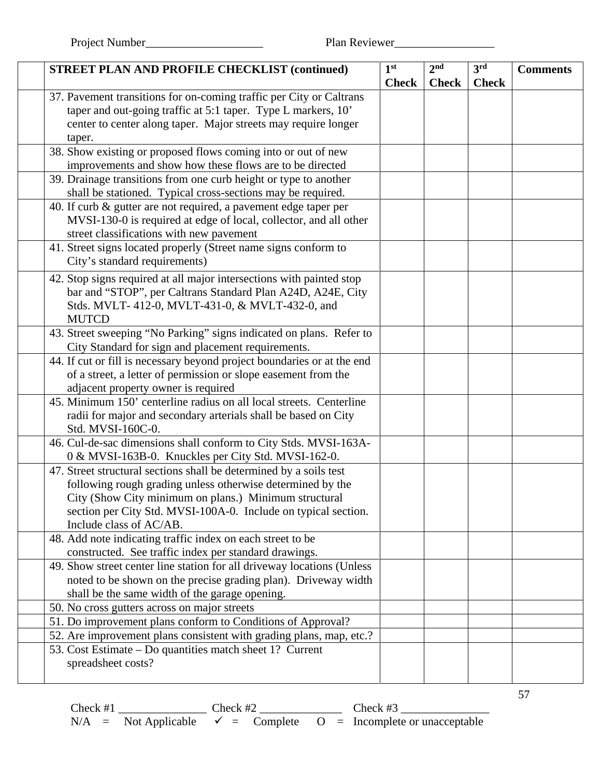| STREET PLAN AND PROFILE CHECKLIST (continued)                           | 1 <sup>st</sup><br><b>Check</b> | 2 <sub>nd</sub><br><b>Check</b> | 3rd<br><b>Check</b> | <b>Comments</b> |
|-------------------------------------------------------------------------|---------------------------------|---------------------------------|---------------------|-----------------|
| 37. Pavement transitions for on-coming traffic per City or Caltrans     |                                 |                                 |                     |                 |
| taper and out-going traffic at 5:1 taper. Type L markers, 10'           |                                 |                                 |                     |                 |
| center to center along taper. Major streets may require longer          |                                 |                                 |                     |                 |
| taper.                                                                  |                                 |                                 |                     |                 |
| 38. Show existing or proposed flows coming into or out of new           |                                 |                                 |                     |                 |
| improvements and show how these flows are to be directed                |                                 |                                 |                     |                 |
| 39. Drainage transitions from one curb height or type to another        |                                 |                                 |                     |                 |
| shall be stationed. Typical cross-sections may be required.             |                                 |                                 |                     |                 |
| 40. If curb & gutter are not required, a pavement edge taper per        |                                 |                                 |                     |                 |
| MVSI-130-0 is required at edge of local, collector, and all other       |                                 |                                 |                     |                 |
| street classifications with new pavement                                |                                 |                                 |                     |                 |
| 41. Street signs located properly (Street name signs conform to         |                                 |                                 |                     |                 |
| City's standard requirements)                                           |                                 |                                 |                     |                 |
| 42. Stop signs required at all major intersections with painted stop    |                                 |                                 |                     |                 |
| bar and "STOP", per Caltrans Standard Plan A24D, A24E, City             |                                 |                                 |                     |                 |
| Stds. MVLT- 412-0, MVLT-431-0, & MVLT-432-0, and                        |                                 |                                 |                     |                 |
| <b>MUTCD</b>                                                            |                                 |                                 |                     |                 |
| 43. Street sweeping "No Parking" signs indicated on plans. Refer to     |                                 |                                 |                     |                 |
| City Standard for sign and placement requirements.                      |                                 |                                 |                     |                 |
| 44. If cut or fill is necessary beyond project boundaries or at the end |                                 |                                 |                     |                 |
| of a street, a letter of permission or slope easement from the          |                                 |                                 |                     |                 |
| adjacent property owner is required                                     |                                 |                                 |                     |                 |
| 45. Minimum 150' centerline radius on all local streets. Centerline     |                                 |                                 |                     |                 |
| radii for major and secondary arterials shall be based on City          |                                 |                                 |                     |                 |
| Std. MVSI-160C-0.                                                       |                                 |                                 |                     |                 |
| 46. Cul-de-sac dimensions shall conform to City Stds. MVSI-163A-        |                                 |                                 |                     |                 |
| 0 & MVSI-163B-0. Knuckles per City Std. MVSI-162-0.                     |                                 |                                 |                     |                 |
| 47. Street structural sections shall be determined by a soils test      |                                 |                                 |                     |                 |
| following rough grading unless otherwise determined by the              |                                 |                                 |                     |                 |
| City (Show City minimum on plans.) Minimum structural                   |                                 |                                 |                     |                 |
| section per City Std. MVSI-100A-0. Include on typical section.          |                                 |                                 |                     |                 |
| Include class of AC/AB.                                                 |                                 |                                 |                     |                 |
| 48. Add note indicating traffic index on each street to be              |                                 |                                 |                     |                 |
| constructed. See traffic index per standard drawings.                   |                                 |                                 |                     |                 |
| 49. Show street center line station for all driveway locations (Unless  |                                 |                                 |                     |                 |
| noted to be shown on the precise grading plan). Driveway width          |                                 |                                 |                     |                 |
| shall be the same width of the garage opening.                          |                                 |                                 |                     |                 |
| 50. No cross gutters across on major streets                            |                                 |                                 |                     |                 |
| 51. Do improvement plans conform to Conditions of Approval?             |                                 |                                 |                     |                 |
| 52. Are improvement plans consistent with grading plans, map, etc.?     |                                 |                                 |                     |                 |
| 53. Cost Estimate - Do quantities match sheet 1? Current                |                                 |                                 |                     |                 |
| spreadsheet costs?                                                      |                                 |                                 |                     |                 |
|                                                                         |                                 |                                 |                     |                 |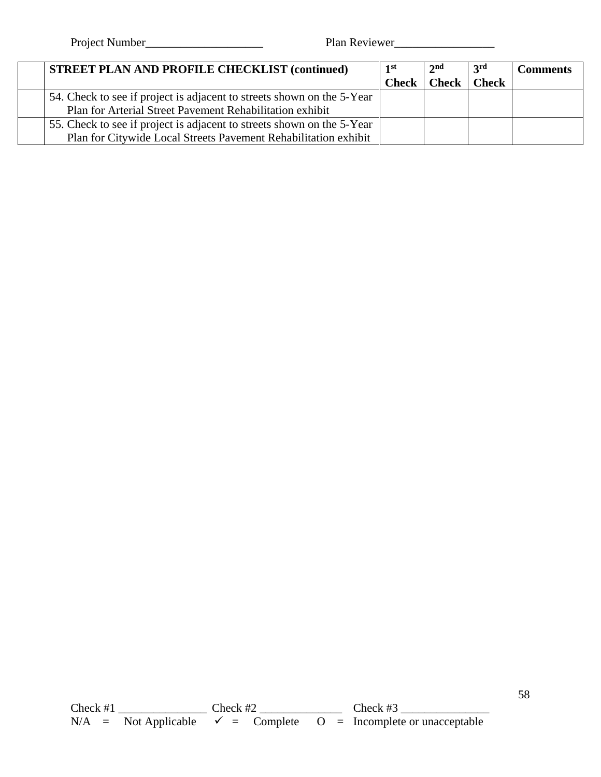| <b>STREET PLAN AND PROFILE CHECKLIST (continued)</b>                   | 1 <sup>st</sup> | 2 <sub>nd</sub> | 3rd   | Comments |
|------------------------------------------------------------------------|-----------------|-----------------|-------|----------|
|                                                                        | <b>Check</b>    | Check           | Check |          |
| 54. Check to see if project is adjacent to streets shown on the 5-Year |                 |                 |       |          |
| Plan for Arterial Street Pavement Rehabilitation exhibit               |                 |                 |       |          |
| 55. Check to see if project is adjacent to streets shown on the 5-Year |                 |                 |       |          |
| Plan for Citywide Local Streets Pavement Rehabilitation exhibit        |                 |                 |       |          |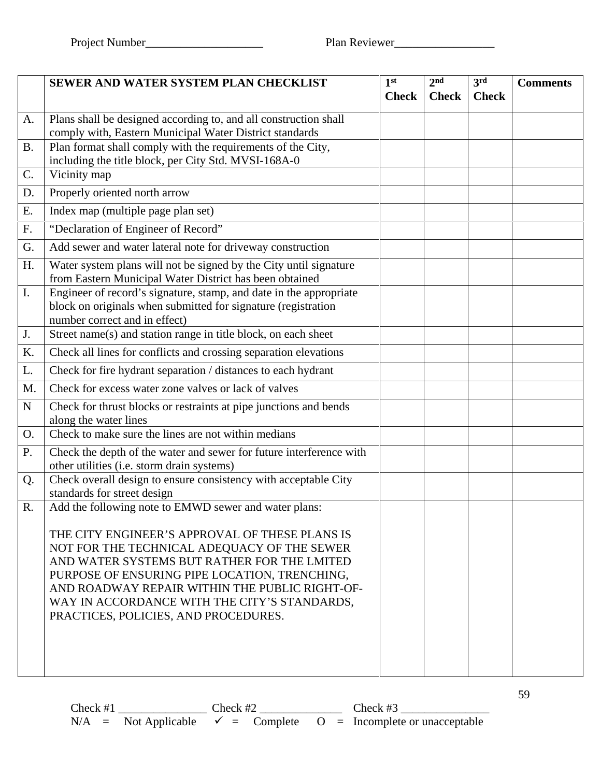|           | SEWER AND WATER SYSTEM PLAN CHECKLIST                                                                                                                                                                                                                                                                                                   | 1 <sup>st</sup><br><b>Check</b> | 2 <sub>nd</sub><br><b>Check</b> | 3rd<br><b>Check</b> | <b>Comments</b> |
|-----------|-----------------------------------------------------------------------------------------------------------------------------------------------------------------------------------------------------------------------------------------------------------------------------------------------------------------------------------------|---------------------------------|---------------------------------|---------------------|-----------------|
| A.        | Plans shall be designed according to, and all construction shall<br>comply with, Eastern Municipal Water District standards                                                                                                                                                                                                             |                                 |                                 |                     |                 |
| <b>B.</b> | Plan format shall comply with the requirements of the City,<br>including the title block, per City Std. MVSI-168A-0                                                                                                                                                                                                                     |                                 |                                 |                     |                 |
| C.        | Vicinity map                                                                                                                                                                                                                                                                                                                            |                                 |                                 |                     |                 |
| D.        | Properly oriented north arrow                                                                                                                                                                                                                                                                                                           |                                 |                                 |                     |                 |
| Ε.        | Index map (multiple page plan set)                                                                                                                                                                                                                                                                                                      |                                 |                                 |                     |                 |
| F.        | "Declaration of Engineer of Record"                                                                                                                                                                                                                                                                                                     |                                 |                                 |                     |                 |
| G.        | Add sewer and water lateral note for driveway construction                                                                                                                                                                                                                                                                              |                                 |                                 |                     |                 |
| H.        | Water system plans will not be signed by the City until signature<br>from Eastern Municipal Water District has been obtained                                                                                                                                                                                                            |                                 |                                 |                     |                 |
| I.        | Engineer of record's signature, stamp, and date in the appropriate<br>block on originals when submitted for signature (registration<br>number correct and in effect)                                                                                                                                                                    |                                 |                                 |                     |                 |
| J.        | Street name(s) and station range in title block, on each sheet                                                                                                                                                                                                                                                                          |                                 |                                 |                     |                 |
| K.        | Check all lines for conflicts and crossing separation elevations                                                                                                                                                                                                                                                                        |                                 |                                 |                     |                 |
| L.        | Check for fire hydrant separation / distances to each hydrant                                                                                                                                                                                                                                                                           |                                 |                                 |                     |                 |
| M.        | Check for excess water zone valves or lack of valves                                                                                                                                                                                                                                                                                    |                                 |                                 |                     |                 |
| ${\bf N}$ | Check for thrust blocks or restraints at pipe junctions and bends<br>along the water lines                                                                                                                                                                                                                                              |                                 |                                 |                     |                 |
| O.        | Check to make sure the lines are not within medians                                                                                                                                                                                                                                                                                     |                                 |                                 |                     |                 |
| P.        | Check the depth of the water and sewer for future interference with<br>other utilities (i.e. storm drain systems)                                                                                                                                                                                                                       |                                 |                                 |                     |                 |
| Q.        | Check overall design to ensure consistency with acceptable City<br>standards for street design                                                                                                                                                                                                                                          |                                 |                                 |                     |                 |
| R.        | Add the following note to EMWD sewer and water plans:                                                                                                                                                                                                                                                                                   |                                 |                                 |                     |                 |
|           | THE CITY ENGINEER'S APPROVAL OF THESE PLANS IS<br>NOT FOR THE TECHNICAL ADEQUACY OF THE SEWER<br>AND WATER SYSTEMS BUT RATHER FOR THE LMITED<br>PURPOSE OF ENSURING PIPE LOCATION, TRENCHING,<br>AND ROADWAY REPAIR WITHIN THE PUBLIC RIGHT-OF-<br>WAY IN ACCORDANCE WITH THE CITY'S STANDARDS,<br>PRACTICES, POLICIES, AND PROCEDURES. |                                 |                                 |                     |                 |
|           |                                                                                                                                                                                                                                                                                                                                         |                                 |                                 |                     |                 |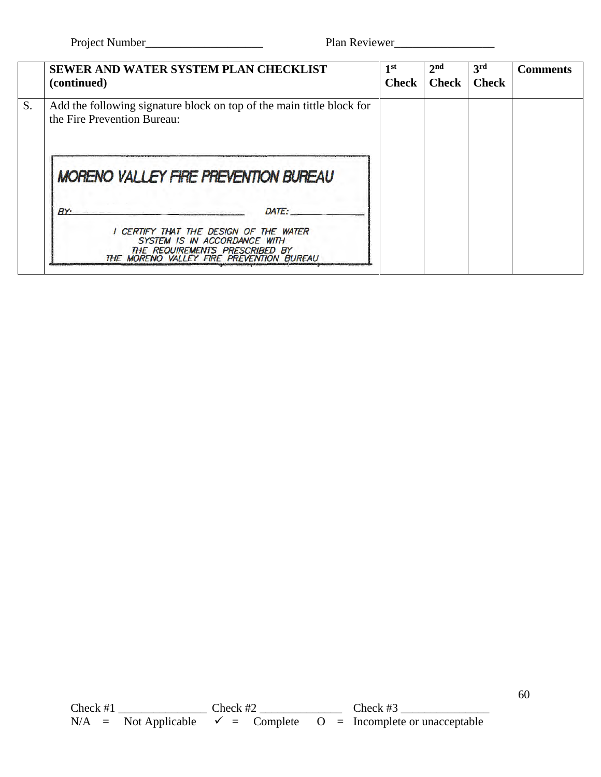|    | <b>SEWER AND WATER SYSTEM PLAN CHECKLIST</b><br>(continued)                                                                                                        | 1 <sup>st</sup><br><b>Check</b> | 2 <sup>nd</sup><br><b>Check</b> | 3 <sup>rd</sup><br><b>Check</b> | <b>Comments</b> |
|----|--------------------------------------------------------------------------------------------------------------------------------------------------------------------|---------------------------------|---------------------------------|---------------------------------|-----------------|
| S. | Add the following signature block on top of the main tittle block for<br>the Fire Prevention Bureau:                                                               |                                 |                                 |                                 |                 |
|    | <b>MORENO VALLEY FIRE PREVENTION BUREAU</b>                                                                                                                        |                                 |                                 |                                 |                 |
|    | DATE:<br>BY:<br>CERTIFY THAT THE DESIGN OF THE WATER<br>SYSTEM IS IN ACCORDANCE WITH<br>THE REQUIREMENTS PRESCRIBED BY<br>THE MORENO VALLEY FIRE PREVENTION BUREAU |                                 |                                 |                                 |                 |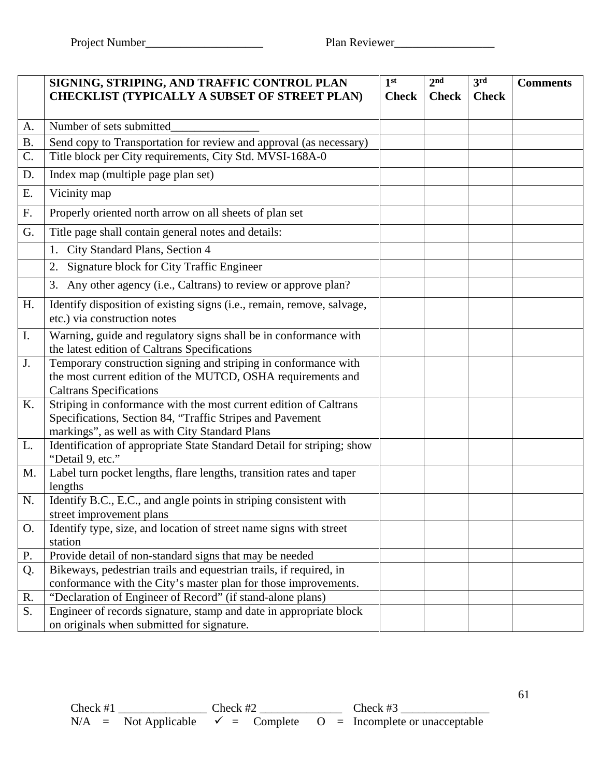|           | SIGNING, STRIPING, AND TRAFFIC CONTROL PLAN<br><b>CHECKLIST (TYPICALLY A SUBSET OF STREET PLAN)</b>                                                                              | 1 <sup>st</sup><br><b>Check</b> | 2 <sub>nd</sub><br><b>Check</b> | 3rd<br><b>Check</b> | <b>Comments</b> |
|-----------|----------------------------------------------------------------------------------------------------------------------------------------------------------------------------------|---------------------------------|---------------------------------|---------------------|-----------------|
| A.        | Number of sets submitted                                                                                                                                                         |                                 |                                 |                     |                 |
| <b>B.</b> | Send copy to Transportation for review and approval (as necessary)                                                                                                               |                                 |                                 |                     |                 |
| C.        | Title block per City requirements, City Std. MVSI-168A-0                                                                                                                         |                                 |                                 |                     |                 |
| D.        | Index map (multiple page plan set)                                                                                                                                               |                                 |                                 |                     |                 |
| E.        | Vicinity map                                                                                                                                                                     |                                 |                                 |                     |                 |
| F.        | Properly oriented north arrow on all sheets of plan set                                                                                                                          |                                 |                                 |                     |                 |
| G.        | Title page shall contain general notes and details:                                                                                                                              |                                 |                                 |                     |                 |
|           | City Standard Plans, Section 4<br>1.                                                                                                                                             |                                 |                                 |                     |                 |
|           | Signature block for City Traffic Engineer<br>2.                                                                                                                                  |                                 |                                 |                     |                 |
|           | 3. Any other agency (i.e., Caltrans) to review or approve plan?                                                                                                                  |                                 |                                 |                     |                 |
| H.        | Identify disposition of existing signs (i.e., remain, remove, salvage,<br>etc.) via construction notes                                                                           |                                 |                                 |                     |                 |
| I.        | Warning, guide and regulatory signs shall be in conformance with<br>the latest edition of Caltrans Specifications                                                                |                                 |                                 |                     |                 |
| J.        | Temporary construction signing and striping in conformance with<br>the most current edition of the MUTCD, OSHA requirements and<br><b>Caltrans Specifications</b>                |                                 |                                 |                     |                 |
| K.        | Striping in conformance with the most current edition of Caltrans<br>Specifications, Section 84, "Traffic Stripes and Pavement<br>markings", as well as with City Standard Plans |                                 |                                 |                     |                 |
| L.        | Identification of appropriate State Standard Detail for striping; show<br>"Detail 9, etc."                                                                                       |                                 |                                 |                     |                 |
| M.        | Label turn pocket lengths, flare lengths, transition rates and taper<br>lengths                                                                                                  |                                 |                                 |                     |                 |
| N.        | Identify B.C., E.C., and angle points in striping consistent with<br>street improvement plans                                                                                    |                                 |                                 |                     |                 |
| O.        | Identify type, size, and location of street name signs with street<br>station                                                                                                    |                                 |                                 |                     |                 |
| P.        | Provide detail of non-standard signs that may be needed                                                                                                                          |                                 |                                 |                     |                 |
| Q.        | Bikeways, pedestrian trails and equestrian trails, if required, in                                                                                                               |                                 |                                 |                     |                 |
|           | conformance with the City's master plan for those improvements.                                                                                                                  |                                 |                                 |                     |                 |
| R.        | "Declaration of Engineer of Record" (if stand-alone plans)                                                                                                                       |                                 |                                 |                     |                 |
| S.        | Engineer of records signature, stamp and date in appropriate block<br>on originals when submitted for signature.                                                                 |                                 |                                 |                     |                 |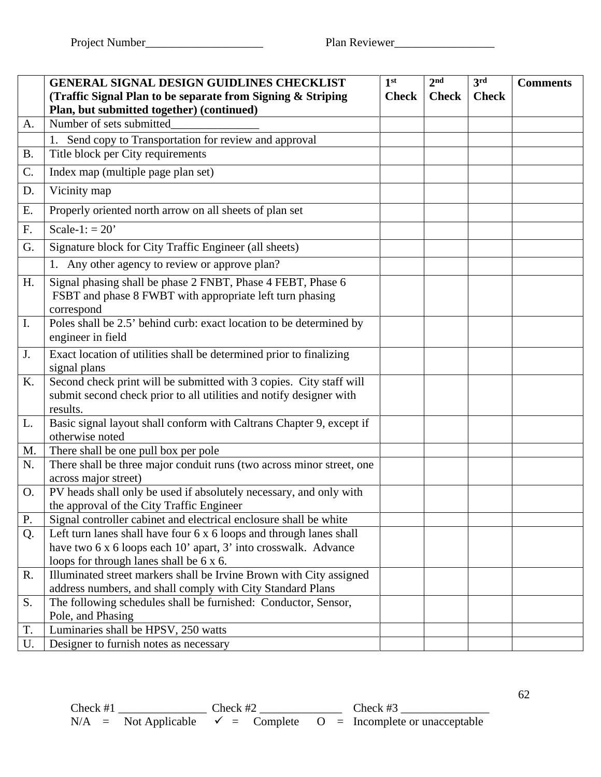|           | <b>GENERAL SIGNAL DESIGN GUIDLINES CHECKLIST</b>                                                                                                       | 1 <sup>st</sup> | 2 <sub>nd</sub> | 3rd          | <b>Comments</b> |
|-----------|--------------------------------------------------------------------------------------------------------------------------------------------------------|-----------------|-----------------|--------------|-----------------|
|           | (Traffic Signal Plan to be separate from Signing & Striping                                                                                            | <b>Check</b>    | <b>Check</b>    | <b>Check</b> |                 |
| A.        | Plan, but submitted together) (continued)<br>Number of sets submitted                                                                                  |                 |                 |              |                 |
|           |                                                                                                                                                        |                 |                 |              |                 |
| <b>B.</b> | 1. Send copy to Transportation for review and approval<br>Title block per City requirements                                                            |                 |                 |              |                 |
|           |                                                                                                                                                        |                 |                 |              |                 |
| C.        | Index map (multiple page plan set)                                                                                                                     |                 |                 |              |                 |
| D.        | Vicinity map                                                                                                                                           |                 |                 |              |                 |
| Ε.        | Properly oriented north arrow on all sheets of plan set                                                                                                |                 |                 |              |                 |
| F.        | Scale-1: = $20'$                                                                                                                                       |                 |                 |              |                 |
| G.        | Signature block for City Traffic Engineer (all sheets)                                                                                                 |                 |                 |              |                 |
|           | 1. Any other agency to review or approve plan?                                                                                                         |                 |                 |              |                 |
| H.        | Signal phasing shall be phase 2 FNBT, Phase 4 FEBT, Phase 6<br>FSBT and phase 8 FWBT with appropriate left turn phasing<br>correspond                  |                 |                 |              |                 |
| I.        | Poles shall be 2.5' behind curb: exact location to be determined by<br>engineer in field                                                               |                 |                 |              |                 |
| J.        | Exact location of utilities shall be determined prior to finalizing<br>signal plans                                                                    |                 |                 |              |                 |
| K.        | Second check print will be submitted with 3 copies. City staff will<br>submit second check prior to all utilities and notify designer with<br>results. |                 |                 |              |                 |
| L.        | Basic signal layout shall conform with Caltrans Chapter 9, except if<br>otherwise noted                                                                |                 |                 |              |                 |
| M.        | There shall be one pull box per pole                                                                                                                   |                 |                 |              |                 |
| N.        | There shall be three major conduit runs (two across minor street, one<br>across major street)                                                          |                 |                 |              |                 |
| O.        | PV heads shall only be used if absolutely necessary, and only with<br>the approval of the City Traffic Engineer                                        |                 |                 |              |                 |
| P.        | Signal controller cabinet and electrical enclosure shall be white                                                                                      |                 |                 |              |                 |
| Q.        | Left turn lanes shall have four $6 \times 6$ loops and through lanes shall                                                                             |                 |                 |              |                 |
|           | have two 6 x 6 loops each 10' apart, 3' into crosswalk. Advance                                                                                        |                 |                 |              |                 |
|           | loops for through lanes shall be 6 x 6.                                                                                                                |                 |                 |              |                 |
| R.        | Illuminated street markers shall be Irvine Brown with City assigned                                                                                    |                 |                 |              |                 |
|           | address numbers, and shall comply with City Standard Plans                                                                                             |                 |                 |              |                 |
| S.        | The following schedules shall be furnished: Conductor, Sensor,                                                                                         |                 |                 |              |                 |
| T.        | Pole, and Phasing<br>Luminaries shall be HPSV, 250 watts                                                                                               |                 |                 |              |                 |
| U.        | Designer to furnish notes as necessary                                                                                                                 |                 |                 |              |                 |
|           |                                                                                                                                                        |                 |                 |              |                 |